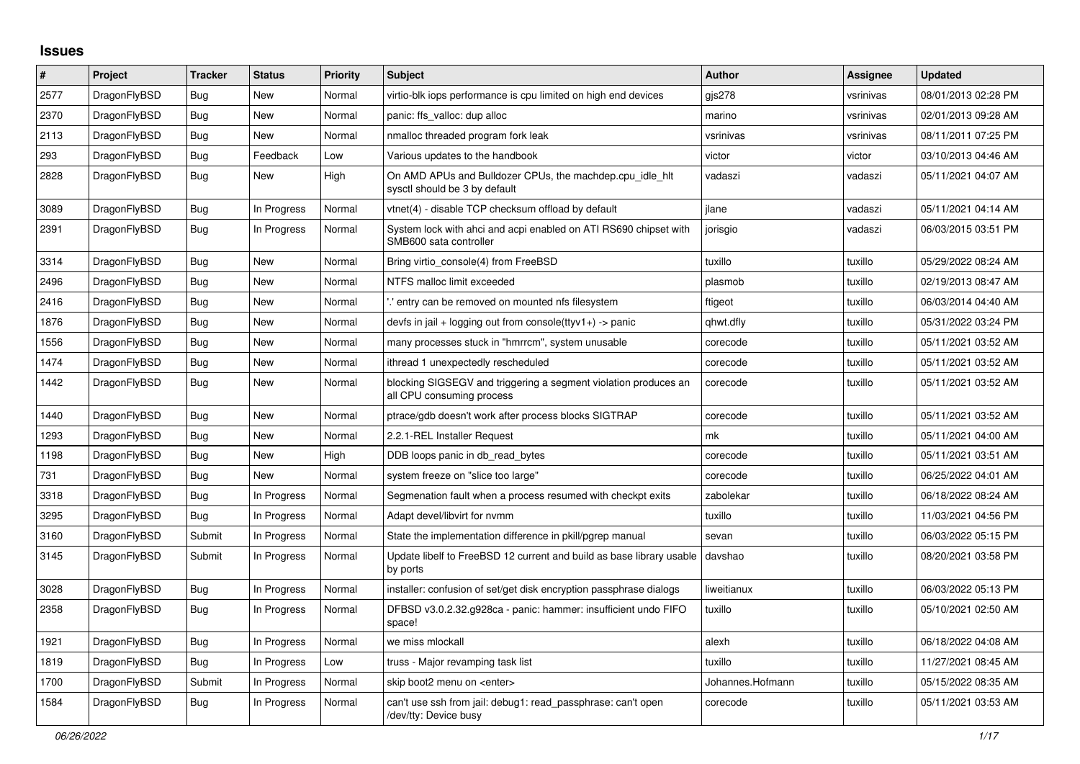## **Issues**

| $\#$ | Project      | <b>Tracker</b> | <b>Status</b> | <b>Priority</b> | <b>Subject</b>                                                                               | <b>Author</b>    | Assignee  | Updated             |
|------|--------------|----------------|---------------|-----------------|----------------------------------------------------------------------------------------------|------------------|-----------|---------------------|
| 2577 | DragonFlyBSD | Bug            | New           | Normal          | virtio-blk iops performance is cpu limited on high end devices                               | gjs278           | vsrinivas | 08/01/2013 02:28 PM |
| 2370 | DragonFlyBSD | Bug            | New           | Normal          | panic: ffs valloc: dup alloc                                                                 | marino           | vsrinivas | 02/01/2013 09:28 AM |
| 2113 | DragonFlyBSD | Bug            | New           | Normal          | nmalloc threaded program fork leak                                                           | vsrinivas        | vsrinivas | 08/11/2011 07:25 PM |
| 293  | DragonFlyBSD | Bug            | Feedback      | Low             | Various updates to the handbook                                                              | victor           | victor    | 03/10/2013 04:46 AM |
| 2828 | DragonFlyBSD | <b>Bug</b>     | New           | High            | On AMD APUs and Bulldozer CPUs, the machdep.cpu_idle_hlt<br>sysctl should be 3 by default    | vadaszi          | vadaszi   | 05/11/2021 04:07 AM |
| 3089 | DragonFlyBSD | Bug            | In Progress   | Normal          | vtnet(4) - disable TCP checksum offload by default                                           | ilane            | vadaszi   | 05/11/2021 04:14 AM |
| 2391 | DragonFlyBSD | <b>Bug</b>     | In Progress   | Normal          | System lock with ahci and acpi enabled on ATI RS690 chipset with<br>SMB600 sata controller   | jorisgio         | vadaszi   | 06/03/2015 03:51 PM |
| 3314 | DragonFlyBSD | Bug            | New           | Normal          | Bring virtio console(4) from FreeBSD                                                         | tuxillo          | tuxillo   | 05/29/2022 08:24 AM |
| 2496 | DragonFlyBSD | Bug            | New           | Normal          | NTFS malloc limit exceeded                                                                   | plasmob          | tuxillo   | 02/19/2013 08:47 AM |
| 2416 | DragonFlyBSD | <b>Bug</b>     | New           | Normal          | ".' entry can be removed on mounted nfs filesystem                                           | ftigeot          | tuxillo   | 06/03/2014 04:40 AM |
| 1876 | DragonFlyBSD | <b>Bug</b>     | New           | Normal          | devfs in jail + logging out from console(ttyv1+) -> panic                                    | qhwt.dfly        | tuxillo   | 05/31/2022 03:24 PM |
| 1556 | DragonFlyBSD | <b>Bug</b>     | New           | Normal          | many processes stuck in "hmrrcm", system unusable                                            | corecode         | tuxillo   | 05/11/2021 03:52 AM |
| 1474 | DragonFlyBSD | Bug            | New           | Normal          | ithread 1 unexpectedly rescheduled                                                           | corecode         | tuxillo   | 05/11/2021 03:52 AM |
| 1442 | DragonFlyBSD | Bug            | <b>New</b>    | Normal          | blocking SIGSEGV and triggering a segment violation produces an<br>all CPU consuming process | corecode         | tuxillo   | 05/11/2021 03:52 AM |
| 1440 | DragonFlyBSD | Bug            | <b>New</b>    | Normal          | ptrace/gdb doesn't work after process blocks SIGTRAP                                         | corecode         | tuxillo   | 05/11/2021 03:52 AM |
| 1293 | DragonFlyBSD | Bug            | <b>New</b>    | Normal          | 2.2.1-REL Installer Request                                                                  | mk               | tuxillo   | 05/11/2021 04:00 AM |
| 1198 | DragonFlyBSD | Bug            | New           | High            | DDB loops panic in db read bytes                                                             | corecode         | tuxillo   | 05/11/2021 03:51 AM |
| 731  | DragonFlyBSD | Bug            | New           | Normal          | system freeze on "slice too large"                                                           | corecode         | tuxillo   | 06/25/2022 04:01 AM |
| 3318 | DragonFlyBSD | Bug            | In Progress   | Normal          | Segmenation fault when a process resumed with checkpt exits                                  | zabolekar        | tuxillo   | 06/18/2022 08:24 AM |
| 3295 | DragonFlyBSD | Bug            | In Progress   | Normal          | Adapt devel/libvirt for nymm                                                                 | tuxillo          | tuxillo   | 11/03/2021 04:56 PM |
| 3160 | DragonFlyBSD | Submit         | In Progress   | Normal          | State the implementation difference in pkill/pgrep manual                                    | sevan            | tuxillo   | 06/03/2022 05:15 PM |
| 3145 | DragonFlyBSD | Submit         | In Progress   | Normal          | Update libelf to FreeBSD 12 current and build as base library usable<br>by ports             | davshao          | tuxillo   | 08/20/2021 03:58 PM |
| 3028 | DragonFlyBSD | <b>Bug</b>     | In Progress   | Normal          | installer: confusion of set/get disk encryption passphrase dialogs                           | liweitianux      | tuxillo   | 06/03/2022 05:13 PM |
| 2358 | DragonFlyBSD | <b>Bug</b>     | In Progress   | Normal          | DFBSD v3.0.2.32.g928ca - panic: hammer: insufficient undo FIFO<br>space!                     | tuxillo          | tuxillo   | 05/10/2021 02:50 AM |
| 1921 | DragonFlyBSD | Bug            | In Progress   | Normal          | we miss mlockall                                                                             | alexh            | tuxillo   | 06/18/2022 04:08 AM |
| 1819 | DragonFlyBSD | <b>Bug</b>     | In Progress   | Low             | truss - Major revamping task list                                                            | tuxillo          | tuxillo   | 11/27/2021 08:45 AM |
| 1700 | DragonFlyBSD | Submit         | In Progress   | Normal          | skip boot2 menu on <enter></enter>                                                           | Johannes.Hofmann | tuxillo   | 05/15/2022 08:35 AM |
| 1584 | DragonFlyBSD | Bug            | In Progress   | Normal          | can't use ssh from jail: debug1: read passphrase: can't open<br>/dev/tty: Device busy        | corecode         | tuxillo   | 05/11/2021 03:53 AM |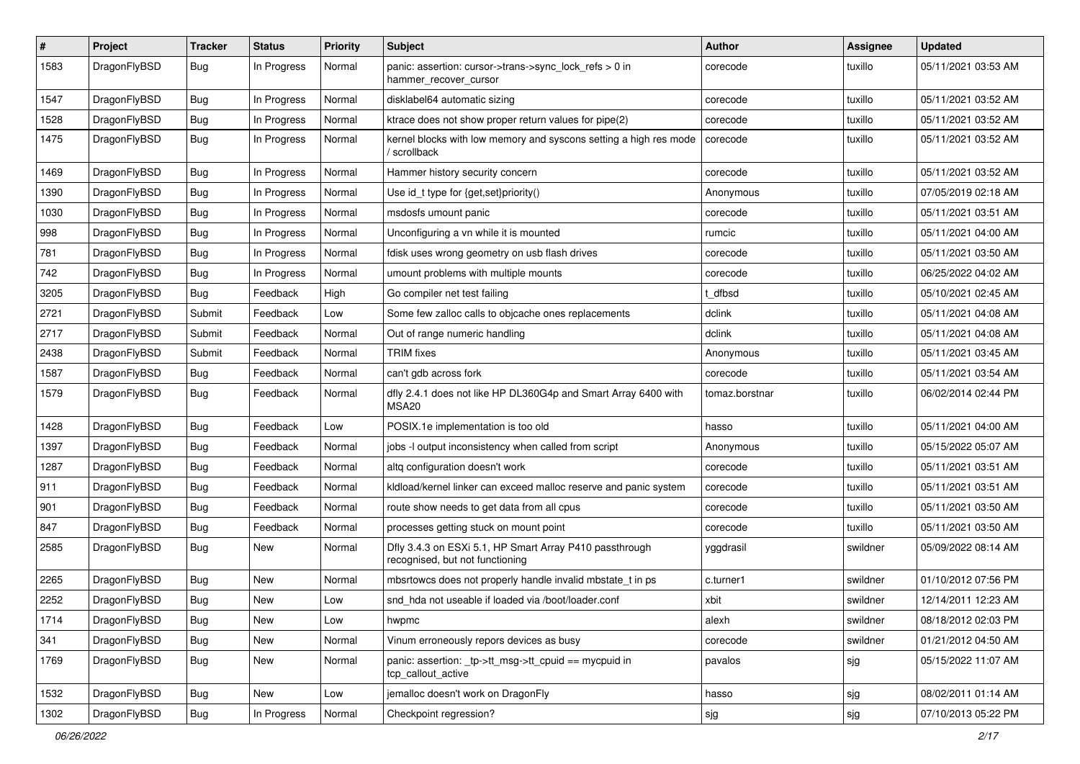| $\sharp$ | Project      | <b>Tracker</b> | <b>Status</b> | <b>Priority</b> | Subject                                                                                    | <b>Author</b>  | Assignee | <b>Updated</b>      |
|----------|--------------|----------------|---------------|-----------------|--------------------------------------------------------------------------------------------|----------------|----------|---------------------|
| 1583     | DragonFlyBSD | Bug            | In Progress   | Normal          | panic: assertion: cursor->trans->sync_lock_refs > 0 in<br>hammer_recover_cursor            | corecode       | tuxillo  | 05/11/2021 03:53 AM |
| 1547     | DragonFlyBSD | Bug            | In Progress   | Normal          | disklabel64 automatic sizing                                                               | corecode       | tuxillo  | 05/11/2021 03:52 AM |
| 1528     | DragonFlyBSD | <b>Bug</b>     | In Progress   | Normal          | ktrace does not show proper return values for pipe(2)                                      | corecode       | tuxillo  | 05/11/2021 03:52 AM |
| 1475     | DragonFlyBSD | Bug            | In Progress   | Normal          | kernel blocks with low memory and syscons setting a high res mode<br>/ scrollback          | corecode       | tuxillo  | 05/11/2021 03:52 AM |
| 1469     | DragonFlyBSD | <b>Bug</b>     | In Progress   | Normal          | Hammer history security concern                                                            | corecode       | tuxillo  | 05/11/2021 03:52 AM |
| 1390     | DragonFlyBSD | <b>Bug</b>     | In Progress   | Normal          | Use id_t type for {get,set}priority()                                                      | Anonymous      | tuxillo  | 07/05/2019 02:18 AM |
| 1030     | DragonFlyBSD | <b>Bug</b>     | In Progress   | Normal          | msdosfs umount panic                                                                       | corecode       | tuxillo  | 05/11/2021 03:51 AM |
| 998      | DragonFlyBSD | Bug            | In Progress   | Normal          | Unconfiguring a vn while it is mounted                                                     | rumcic         | tuxillo  | 05/11/2021 04:00 AM |
| 781      | DragonFlyBSD | <b>Bug</b>     | In Progress   | Normal          | fdisk uses wrong geometry on usb flash drives                                              | corecode       | tuxillo  | 05/11/2021 03:50 AM |
| 742      | DragonFlyBSD | Bug            | In Progress   | Normal          | umount problems with multiple mounts                                                       | corecode       | tuxillo  | 06/25/2022 04:02 AM |
| 3205     | DragonFlyBSD | <b>Bug</b>     | Feedback      | High            | Go compiler net test failing                                                               | t dfbsd        | tuxillo  | 05/10/2021 02:45 AM |
| 2721     | DragonFlyBSD | Submit         | Feedback      | Low             | Some few zalloc calls to objcache ones replacements                                        | dclink         | tuxillo  | 05/11/2021 04:08 AM |
| 2717     | DragonFlyBSD | Submit         | Feedback      | Normal          | Out of range numeric handling                                                              | dclink         | tuxillo  | 05/11/2021 04:08 AM |
| 2438     | DragonFlyBSD | Submit         | Feedback      | Normal          | <b>TRIM</b> fixes                                                                          | Anonymous      | tuxillo  | 05/11/2021 03:45 AM |
| 1587     | DragonFlyBSD | <b>Bug</b>     | Feedback      | Normal          | can't gdb across fork                                                                      | corecode       | tuxillo  | 05/11/2021 03:54 AM |
| 1579     | DragonFlyBSD | Bug            | Feedback      | Normal          | dfly 2.4.1 does not like HP DL360G4p and Smart Array 6400 with<br>MSA20                    | tomaz.borstnar | tuxillo  | 06/02/2014 02:44 PM |
| 1428     | DragonFlyBSD | Bug            | Feedback      | Low             | POSIX.1e implementation is too old                                                         | hasso          | tuxillo  | 05/11/2021 04:00 AM |
| 1397     | DragonFlyBSD | Bug            | Feedback      | Normal          | jobs -I output inconsistency when called from script                                       | Anonymous      | tuxillo  | 05/15/2022 05:07 AM |
| 1287     | DragonFlyBSD | <b>Bug</b>     | Feedback      | Normal          | altq configuration doesn't work                                                            | corecode       | tuxillo  | 05/11/2021 03:51 AM |
| 911      | DragonFlyBSD | Bug            | Feedback      | Normal          | kldload/kernel linker can exceed malloc reserve and panic system                           | corecode       | tuxillo  | 05/11/2021 03:51 AM |
| 901      | DragonFlyBSD | <b>Bug</b>     | Feedback      | Normal          | route show needs to get data from all cpus                                                 | corecode       | tuxillo  | 05/11/2021 03:50 AM |
| 847      | DragonFlyBSD | <b>Bug</b>     | Feedback      | Normal          | processes getting stuck on mount point                                                     | corecode       | tuxillo  | 05/11/2021 03:50 AM |
| 2585     | DragonFlyBSD | Bug            | New           | Normal          | Dfly 3.4.3 on ESXi 5.1, HP Smart Array P410 passthrough<br>recognised, but not functioning | yggdrasil      | swildner | 05/09/2022 08:14 AM |
| 2265     | DragonFlyBSD | Bug            | <b>New</b>    | Normal          | mbsrtowcs does not properly handle invalid mbstate_t in ps                                 | c.turner1      | swildner | 01/10/2012 07:56 PM |
| 2252     | DragonFlyBSD | <b>Bug</b>     | New           | Low             | snd hda not useable if loaded via /boot/loader.conf                                        | xbit           | swildner | 12/14/2011 12:23 AM |
| 1714     | DragonFlyBSD | <b>Bug</b>     | New           | Low             | hwpmc                                                                                      | alexh          | swildner | 08/18/2012 02:03 PM |
| 341      | DragonFlyBSD | <b>Bug</b>     | <b>New</b>    | Normal          | Vinum erroneously repors devices as busy                                                   | corecode       | swildner | 01/21/2012 04:50 AM |
| 1769     | DragonFlyBSD | <b>Bug</b>     | New           | Normal          | panic: assertion: tp->tt_msg->tt_cpuid == mycpuid in<br>tcp_callout_active                 | pavalos        | sig      | 05/15/2022 11:07 AM |
| 1532     | DragonFlyBSD | Bug            | New           | Low             | jemalloc doesn't work on DragonFly                                                         | hasso          | sjg      | 08/02/2011 01:14 AM |
| 1302     | DragonFlyBSD | <b>Bug</b>     | In Progress   | Normal          | Checkpoint regression?                                                                     | sjg            | sjg      | 07/10/2013 05:22 PM |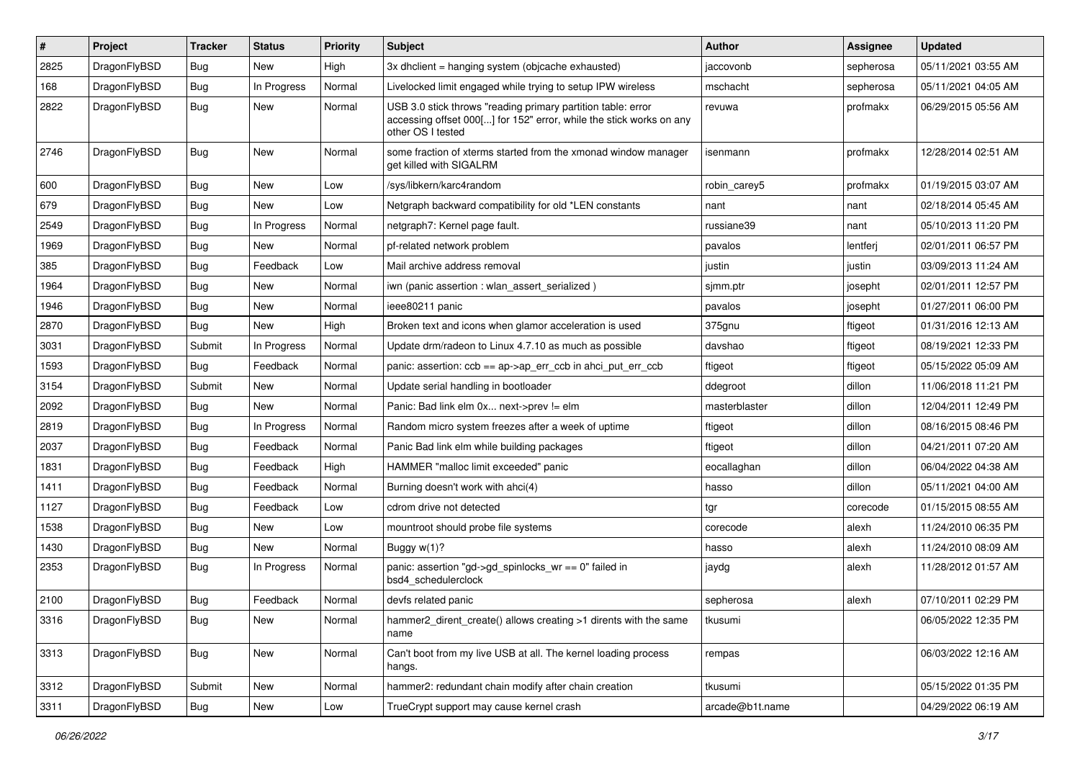| #    | Project      | <b>Tracker</b> | <b>Status</b> | <b>Priority</b> | Subject                                                                                                                                                  | Author          | Assignee  | <b>Updated</b>      |
|------|--------------|----------------|---------------|-----------------|----------------------------------------------------------------------------------------------------------------------------------------------------------|-----------------|-----------|---------------------|
| 2825 | DragonFlyBSD | <b>Bug</b>     | <b>New</b>    | High            | 3x dhclient = hanging system (objcache exhausted)                                                                                                        | jaccovonb       | sepherosa | 05/11/2021 03:55 AM |
| 168  | DragonFlyBSD | Bug            | In Progress   | Normal          | Livelocked limit engaged while trying to setup IPW wireless                                                                                              | mschacht        | sepherosa | 05/11/2021 04:05 AM |
| 2822 | DragonFlyBSD | Bug            | New           | Normal          | USB 3.0 stick throws "reading primary partition table: error<br>accessing offset 000[] for 152" error, while the stick works on any<br>other OS I tested | revuwa          | profmakx  | 06/29/2015 05:56 AM |
| 2746 | DragonFlyBSD | Bug            | New           | Normal          | some fraction of xterms started from the xmonad window manager<br>get killed with SIGALRM                                                                | isenmann        | profmakx  | 12/28/2014 02:51 AM |
| 600  | DragonFlyBSD | Bug            | New           | Low             | /sys/libkern/karc4random                                                                                                                                 | robin_carey5    | profmakx  | 01/19/2015 03:07 AM |
| 679  | DragonFlyBSD | <b>Bug</b>     | <b>New</b>    | Low             | Netgraph backward compatibility for old *LEN constants                                                                                                   | nant            | nant      | 02/18/2014 05:45 AM |
| 2549 | DragonFlyBSD | Bug            | In Progress   | Normal          | netgraph7: Kernel page fault.                                                                                                                            | russiane39      | nant      | 05/10/2013 11:20 PM |
| 1969 | DragonFlyBSD | <b>Bug</b>     | New           | Normal          | pf-related network problem                                                                                                                               | pavalos         | lentferj  | 02/01/2011 06:57 PM |
| 385  | DragonFlyBSD | <b>Bug</b>     | Feedback      | Low             | Mail archive address removal                                                                                                                             | justin          | justin    | 03/09/2013 11:24 AM |
| 1964 | DragonFlyBSD | Bug            | New           | Normal          | iwn (panic assertion : wlan assert serialized)                                                                                                           | sjmm.ptr        | josepht   | 02/01/2011 12:57 PM |
| 1946 | DragonFlyBSD | <b>Bug</b>     | New           | Normal          | ieee80211 panic                                                                                                                                          | pavalos         | josepht   | 01/27/2011 06:00 PM |
| 2870 | DragonFlyBSD | <b>Bug</b>     | <b>New</b>    | High            | Broken text and icons when glamor acceleration is used                                                                                                   | 375gnu          | ftigeot   | 01/31/2016 12:13 AM |
| 3031 | DragonFlyBSD | Submit         | In Progress   | Normal          | Update drm/radeon to Linux 4.7.10 as much as possible                                                                                                    | davshao         | ftigeot   | 08/19/2021 12:33 PM |
| 1593 | DragonFlyBSD | <b>Bug</b>     | Feedback      | Normal          | panic: assertion: $ccb == ap > ap$ err $ccb$ in ahci put err $ccb$                                                                                       | ftigeot         | ftigeot   | 05/15/2022 05:09 AM |
| 3154 | DragonFlyBSD | Submit         | New           | Normal          | Update serial handling in bootloader                                                                                                                     | ddegroot        | dillon    | 11/06/2018 11:21 PM |
| 2092 | DragonFlyBSD | <b>Bug</b>     | New           | Normal          | Panic: Bad link elm 0x next->prev != elm                                                                                                                 | masterblaster   | dillon    | 12/04/2011 12:49 PM |
| 2819 | DragonFlyBSD | <b>Bug</b>     | In Progress   | Normal          | Random micro system freezes after a week of uptime                                                                                                       | ftigeot         | dillon    | 08/16/2015 08:46 PM |
| 2037 | DragonFlyBSD | Bug            | Feedback      | Normal          | Panic Bad link elm while building packages                                                                                                               | ftigeot         | dillon    | 04/21/2011 07:20 AM |
| 1831 | DragonFlyBSD | <b>Bug</b>     | Feedback      | High            | HAMMER "malloc limit exceeded" panic                                                                                                                     | eocallaghan     | dillon    | 06/04/2022 04:38 AM |
| 1411 | DragonFlyBSD | <b>Bug</b>     | Feedback      | Normal          | Burning doesn't work with ahci(4)                                                                                                                        | hasso           | dillon    | 05/11/2021 04:00 AM |
| 1127 | DragonFlyBSD | <b>Bug</b>     | Feedback      | Low             | cdrom drive not detected                                                                                                                                 | tgr             | corecode  | 01/15/2015 08:55 AM |
| 1538 | DragonFlyBSD | <b>Bug</b>     | New           | Low             | mountroot should probe file systems                                                                                                                      | corecode        | alexh     | 11/24/2010 06:35 PM |
| 1430 | DragonFlyBSD | <b>Bug</b>     | New           | Normal          | Buggy w(1)?                                                                                                                                              | hasso           | alexh     | 11/24/2010 08:09 AM |
| 2353 | DragonFlyBSD | <b>Bug</b>     | In Progress   | Normal          | panic: assertion "gd->gd_spinlocks_wr == 0" failed in<br>bsd4_schedulerclock                                                                             | jaydg           | alexh     | 11/28/2012 01:57 AM |
| 2100 | DragonFlyBSD | <b>Bug</b>     | Feedback      | Normal          | devfs related panic                                                                                                                                      | sepherosa       | alexh     | 07/10/2011 02:29 PM |
| 3316 | DragonFlyBSD | <b>Bug</b>     | New           | Normal          | hammer2_dirent_create() allows creating >1 dirents with the same<br>name                                                                                 | tkusumi         |           | 06/05/2022 12:35 PM |
| 3313 | DragonFlyBSD | <b>Bug</b>     | New           | Normal          | Can't boot from my live USB at all. The kernel loading process<br>hangs.                                                                                 | rempas          |           | 06/03/2022 12:16 AM |
| 3312 | DragonFlyBSD | Submit         | <b>New</b>    | Normal          | hammer2: redundant chain modify after chain creation                                                                                                     | tkusumi         |           | 05/15/2022 01:35 PM |
| 3311 | DragonFlyBSD | <b>Bug</b>     | New           | Low             | TrueCrypt support may cause kernel crash                                                                                                                 | arcade@b1t.name |           | 04/29/2022 06:19 AM |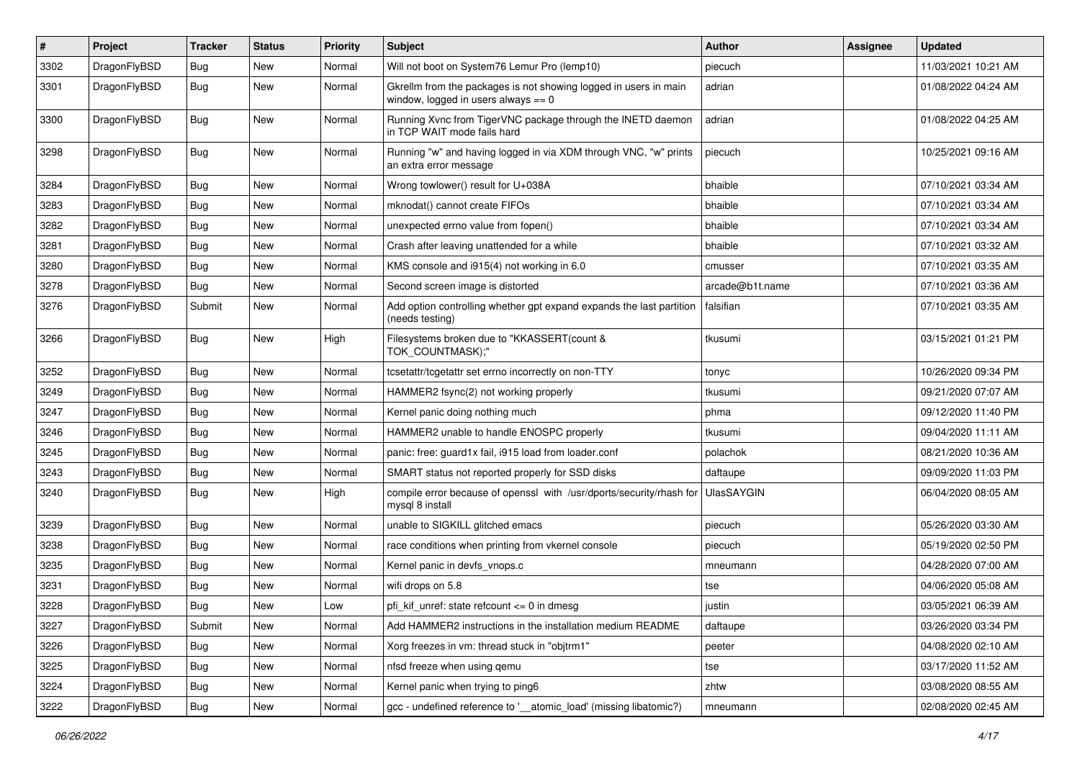| $\pmb{\#}$ | Project      | <b>Tracker</b> | <b>Status</b> | <b>Priority</b> | Subject                                                                                                   | <b>Author</b>     | Assignee | <b>Updated</b>      |
|------------|--------------|----------------|---------------|-----------------|-----------------------------------------------------------------------------------------------------------|-------------------|----------|---------------------|
| 3302       | DragonFlyBSD | Bug            | New           | Normal          | Will not boot on System76 Lemur Pro (lemp10)                                                              | piecuch           |          | 11/03/2021 10:21 AM |
| 3301       | DragonFlyBSD | Bug            | New           | Normal          | Gkrellm from the packages is not showing logged in users in main<br>window, logged in users always $== 0$ | adrian            |          | 01/08/2022 04:24 AM |
| 3300       | DragonFlyBSD | Bug            | New           | Normal          | Running Xvnc from TigerVNC package through the INETD daemon<br>in TCP WAIT mode fails hard                | adrian            |          | 01/08/2022 04:25 AM |
| 3298       | DragonFlyBSD | Bug            | New           | Normal          | Running "w" and having logged in via XDM through VNC, "w" prints<br>an extra error message                | piecuch           |          | 10/25/2021 09:16 AM |
| 3284       | DragonFlyBSD | <b>Bug</b>     | <b>New</b>    | Normal          | Wrong towlower() result for U+038A                                                                        | bhaible           |          | 07/10/2021 03:34 AM |
| 3283       | DragonFlyBSD | Bug            | New           | Normal          | mknodat() cannot create FIFOs                                                                             | bhaible           |          | 07/10/2021 03:34 AM |
| 3282       | DragonFlyBSD | Bug            | <b>New</b>    | Normal          | unexpected errno value from fopen()                                                                       | bhaible           |          | 07/10/2021 03:34 AM |
| 3281       | DragonFlyBSD | Bug            | New           | Normal          | Crash after leaving unattended for a while                                                                | bhaible           |          | 07/10/2021 03:32 AM |
| 3280       | DragonFlyBSD | Bug            | New           | Normal          | KMS console and i915(4) not working in 6.0                                                                | cmusser           |          | 07/10/2021 03:35 AM |
| 3278       | DragonFlyBSD | Bug            | <b>New</b>    | Normal          | Second screen image is distorted                                                                          | arcade@b1t.name   |          | 07/10/2021 03:36 AM |
| 3276       | DragonFlyBSD | Submit         | New           | Normal          | Add option controlling whether gpt expand expands the last partition<br>(needs testing)                   | falsifian         |          | 07/10/2021 03:35 AM |
| 3266       | DragonFlyBSD | Bug            | New           | High            | Filesystems broken due to "KKASSERT(count &<br>TOK_COUNTMASK);"                                           | tkusumi           |          | 03/15/2021 01:21 PM |
| 3252       | DragonFlyBSD | Bug            | <b>New</b>    | Normal          | tcsetattr/tcgetattr set errno incorrectly on non-TTY                                                      | tonyc             |          | 10/26/2020 09:34 PM |
| 3249       | DragonFlyBSD | Bug            | New           | Normal          | HAMMER2 fsync(2) not working properly                                                                     | tkusumi           |          | 09/21/2020 07:07 AM |
| 3247       | DragonFlyBSD | Bug            | <b>New</b>    | Normal          | Kernel panic doing nothing much                                                                           | phma              |          | 09/12/2020 11:40 PM |
| 3246       | DragonFlyBSD | <b>Bug</b>     | <b>New</b>    | Normal          | HAMMER2 unable to handle ENOSPC properly                                                                  | tkusumi           |          | 09/04/2020 11:11 AM |
| 3245       | DragonFlyBSD | Bug            | <b>New</b>    | Normal          | panic: free: guard1x fail, i915 load from loader.conf                                                     | polachok          |          | 08/21/2020 10:36 AM |
| 3243       | DragonFlyBSD | Bug            | <b>New</b>    | Normal          | SMART status not reported properly for SSD disks                                                          | daftaupe          |          | 09/09/2020 11:03 PM |
| 3240       | DragonFlyBSD | Bug            | New           | High            | compile error because of openssl with /usr/dports/security/rhash for<br>mysql 8 install                   | <b>UlasSAYGIN</b> |          | 06/04/2020 08:05 AM |
| 3239       | DragonFlyBSD | Bug            | <b>New</b>    | Normal          | unable to SIGKILL glitched emacs                                                                          | piecuch           |          | 05/26/2020 03:30 AM |
| 3238       | DragonFlyBSD | <b>Bug</b>     | <b>New</b>    | Normal          | race conditions when printing from vkernel console                                                        | piecuch           |          | 05/19/2020 02:50 PM |
| 3235       | DragonFlyBSD | Bug            | <b>New</b>    | Normal          | Kernel panic in devfs vnops.c                                                                             | mneumann          |          | 04/28/2020 07:00 AM |
| 3231       | DragonFlyBSD | <b>Bug</b>     | New           | Normal          | wifi drops on 5.8                                                                                         | tse               |          | 04/06/2020 05:08 AM |
| 3228       | DragonFlyBSD | Bug            | New           | Low             | pfi kif unref: state refcount $\leq 0$ in dmesg                                                           | justin            |          | 03/05/2021 06:39 AM |
| 3227       | DragonFlyBSD | Submit         | New           | Normal          | Add HAMMER2 instructions in the installation medium README                                                | daftaupe          |          | 03/26/2020 03:34 PM |
| 3226       | DragonFlyBSD | <b>Bug</b>     | New           | Normal          | Xorg freezes in vm: thread stuck in "objtrm1"                                                             | peeter            |          | 04/08/2020 02:10 AM |
| 3225       | DragonFlyBSD | <b>Bug</b>     | New           | Normal          | nfsd freeze when using gemu                                                                               | tse               |          | 03/17/2020 11:52 AM |
| 3224       | DragonFlyBSD | <b>Bug</b>     | New           | Normal          | Kernel panic when trying to ping6                                                                         | zhtw              |          | 03/08/2020 08:55 AM |
| 3222       | DragonFlyBSD | Bug            | New           | Normal          | gcc - undefined reference to '__atomic_load' (missing libatomic?)                                         | mneumann          |          | 02/08/2020 02:45 AM |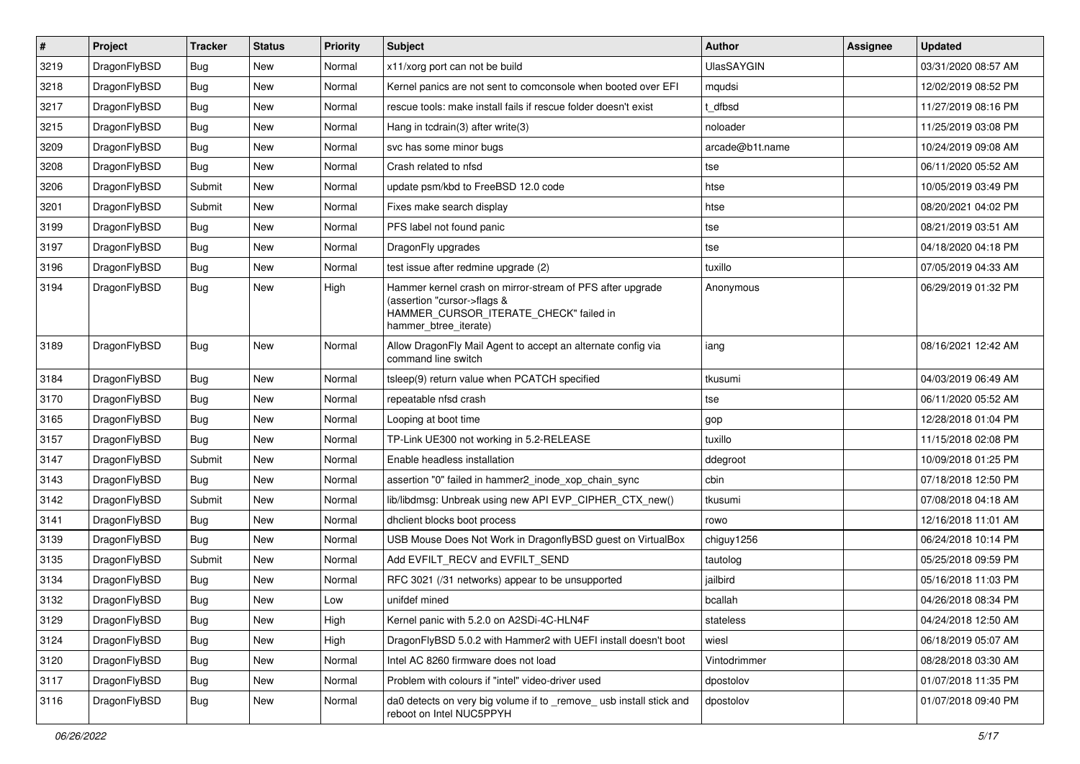| $\vert$ # | Project      | <b>Tracker</b> | <b>Status</b> | <b>Priority</b> | Subject                                                                                                                                                     | Author            | Assignee | <b>Updated</b>      |
|-----------|--------------|----------------|---------------|-----------------|-------------------------------------------------------------------------------------------------------------------------------------------------------------|-------------------|----------|---------------------|
| 3219      | DragonFlyBSD | Bug            | <b>New</b>    | Normal          | x11/xorg port can not be build                                                                                                                              | <b>UlasSAYGIN</b> |          | 03/31/2020 08:57 AM |
| 3218      | DragonFlyBSD | Bug            | <b>New</b>    | Normal          | Kernel panics are not sent to comconsole when booted over EFI                                                                                               | mqudsi            |          | 12/02/2019 08:52 PM |
| 3217      | DragonFlyBSD | Bug            | New           | Normal          | rescue tools: make install fails if rescue folder doesn't exist                                                                                             | dfbsd             |          | 11/27/2019 08:16 PM |
| 3215      | DragonFlyBSD | Bug            | New           | Normal          | Hang in tcdrain(3) after write(3)                                                                                                                           | noloader          |          | 11/25/2019 03:08 PM |
| 3209      | DragonFlyBSD | Bug            | <b>New</b>    | Normal          | svc has some minor bugs                                                                                                                                     | arcade@b1t.name   |          | 10/24/2019 09:08 AM |
| 3208      | DragonFlyBSD | Bug            | New           | Normal          | Crash related to nfsd                                                                                                                                       | tse               |          | 06/11/2020 05:52 AM |
| 3206      | DragonFlyBSD | Submit         | New           | Normal          | update psm/kbd to FreeBSD 12.0 code                                                                                                                         | htse              |          | 10/05/2019 03:49 PM |
| 3201      | DragonFlyBSD | Submit         | New           | Normal          | Fixes make search display                                                                                                                                   | htse              |          | 08/20/2021 04:02 PM |
| 3199      | DragonFlyBSD | Bug            | <b>New</b>    | Normal          | PFS label not found panic                                                                                                                                   | tse               |          | 08/21/2019 03:51 AM |
| 3197      | DragonFlyBSD | Bug            | <b>New</b>    | Normal          | DragonFly upgrades                                                                                                                                          | tse               |          | 04/18/2020 04:18 PM |
| 3196      | DragonFlyBSD | Bug            | New           | Normal          | test issue after redmine upgrade (2)                                                                                                                        | tuxillo           |          | 07/05/2019 04:33 AM |
| 3194      | DragonFlyBSD | Bug            | <b>New</b>    | High            | Hammer kernel crash on mirror-stream of PFS after upgrade<br>(assertion "cursor->flags &<br>HAMMER_CURSOR_ITERATE_CHECK" failed in<br>hammer_btree_iterate) | Anonymous         |          | 06/29/2019 01:32 PM |
| 3189      | DragonFlyBSD | Bug            | New           | Normal          | Allow DragonFly Mail Agent to accept an alternate config via<br>command line switch                                                                         | iang              |          | 08/16/2021 12:42 AM |
| 3184      | DragonFlyBSD | Bug            | <b>New</b>    | Normal          | tsleep(9) return value when PCATCH specified                                                                                                                | tkusumi           |          | 04/03/2019 06:49 AM |
| 3170      | DragonFlyBSD | Bug            | <b>New</b>    | Normal          | repeatable nfsd crash                                                                                                                                       | tse               |          | 06/11/2020 05:52 AM |
| 3165      | DragonFlyBSD | Bug            | <b>New</b>    | Normal          | Looping at boot time                                                                                                                                        | gop               |          | 12/28/2018 01:04 PM |
| 3157      | DragonFlyBSD | Bug            | <b>New</b>    | Normal          | TP-Link UE300 not working in 5.2-RELEASE                                                                                                                    | tuxillo           |          | 11/15/2018 02:08 PM |
| 3147      | DragonFlyBSD | Submit         | New           | Normal          | Enable headless installation                                                                                                                                | ddegroot          |          | 10/09/2018 01:25 PM |
| 3143      | DragonFlyBSD | Bug            | <b>New</b>    | Normal          | assertion "0" failed in hammer2_inode_xop_chain_sync                                                                                                        | cbin              |          | 07/18/2018 12:50 PM |
| 3142      | DragonFlyBSD | Submit         | New           | Normal          | lib/libdmsg: Unbreak using new API EVP_CIPHER_CTX_new()                                                                                                     | tkusumi           |          | 07/08/2018 04:18 AM |
| 3141      | DragonFlyBSD | Bug            | <b>New</b>    | Normal          | dhclient blocks boot process                                                                                                                                | rowo              |          | 12/16/2018 11:01 AM |
| 3139      | DragonFlyBSD | Bug            | <b>New</b>    | Normal          | USB Mouse Does Not Work in DragonflyBSD guest on VirtualBox                                                                                                 | chiguy1256        |          | 06/24/2018 10:14 PM |
| 3135      | DragonFlyBSD | Submit         | New           | Normal          | Add EVFILT RECV and EVFILT SEND                                                                                                                             | tautolog          |          | 05/25/2018 09:59 PM |
| 3134      | DragonFlyBSD | Bug            | <b>New</b>    | Normal          | RFC 3021 (/31 networks) appear to be unsupported                                                                                                            | jailbird          |          | 05/16/2018 11:03 PM |
| 3132      | DragonFlyBSD | <b>Bug</b>     | New           | Low             | unifdef mined                                                                                                                                               | bcallah           |          | 04/26/2018 08:34 PM |
| 3129      | DragonFlyBSD | <b>Bug</b>     | New           | High            | Kernel panic with 5.2.0 on A2SDi-4C-HLN4F                                                                                                                   | stateless         |          | 04/24/2018 12:50 AM |
| 3124      | DragonFlyBSD | <b>Bug</b>     | New           | High            | DragonFlyBSD 5.0.2 with Hammer2 with UEFI install doesn't boot                                                                                              | wiesl             |          | 06/18/2019 05:07 AM |
| 3120      | DragonFlyBSD | <b>Bug</b>     | New           | Normal          | Intel AC 8260 firmware does not load                                                                                                                        | Vintodrimmer      |          | 08/28/2018 03:30 AM |
| 3117      | DragonFlyBSD | Bug            | New           | Normal          | Problem with colours if "intel" video-driver used                                                                                                           | dpostolov         |          | 01/07/2018 11:35 PM |
| 3116      | DragonFlyBSD | Bug            | New           | Normal          | da0 detects on very big volume if to _remove_ usb install stick and<br>reboot on Intel NUC5PPYH                                                             | dpostolov         |          | 01/07/2018 09:40 PM |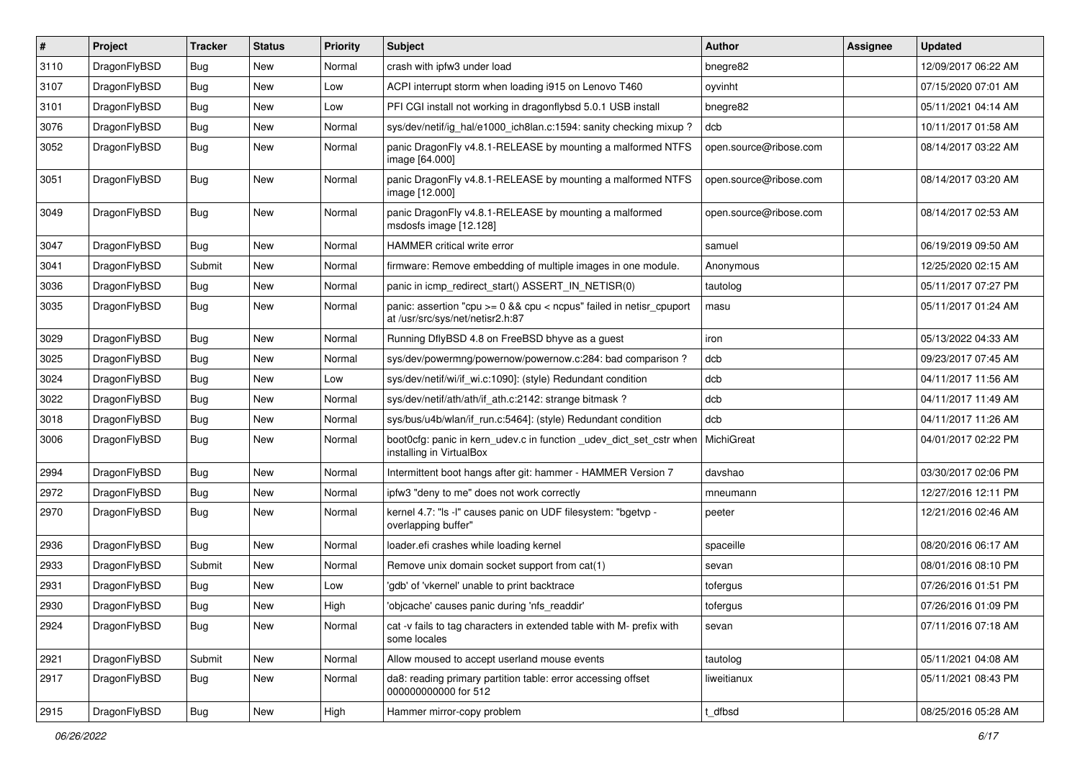| $\vert$ # | Project      | <b>Tracker</b> | <b>Status</b> | <b>Priority</b> | <b>Subject</b>                                                                                            | Author                 | Assignee | <b>Updated</b>      |
|-----------|--------------|----------------|---------------|-----------------|-----------------------------------------------------------------------------------------------------------|------------------------|----------|---------------------|
| 3110      | DragonFlyBSD | Bug            | <b>New</b>    | Normal          | crash with ipfw3 under load                                                                               | bnegre82               |          | 12/09/2017 06:22 AM |
| 3107      | DragonFlyBSD | <b>Bug</b>     | <b>New</b>    | Low             | ACPI interrupt storm when loading i915 on Lenovo T460                                                     | oyvinht                |          | 07/15/2020 07:01 AM |
| 3101      | DragonFlyBSD | <b>Bug</b>     | <b>New</b>    | Low             | PFI CGI install not working in dragonflybsd 5.0.1 USB install                                             | bnegre82               |          | 05/11/2021 04:14 AM |
| 3076      | DragonFlyBSD | Bug            | <b>New</b>    | Normal          | sys/dev/netif/ig_hal/e1000_ich8lan.c:1594: sanity checking mixup?                                         | dcb                    |          | 10/11/2017 01:58 AM |
| 3052      | DragonFlyBSD | Bug            | <b>New</b>    | Normal          | panic DragonFly v4.8.1-RELEASE by mounting a malformed NTFS<br>image [64.000]                             | open.source@ribose.com |          | 08/14/2017 03:22 AM |
| 3051      | DragonFlyBSD | Bug            | <b>New</b>    | Normal          | panic DragonFly v4.8.1-RELEASE by mounting a malformed NTFS<br>image [12.000]                             | open.source@ribose.com |          | 08/14/2017 03:20 AM |
| 3049      | DragonFlyBSD | Bug            | <b>New</b>    | Normal          | panic DragonFly v4.8.1-RELEASE by mounting a malformed<br>msdosfs image [12.128]                          | open.source@ribose.com |          | 08/14/2017 02:53 AM |
| 3047      | DragonFlyBSD | <b>Bug</b>     | <b>New</b>    | Normal          | HAMMER critical write error                                                                               | samuel                 |          | 06/19/2019 09:50 AM |
| 3041      | DragonFlyBSD | Submit         | New           | Normal          | firmware: Remove embedding of multiple images in one module.                                              | Anonymous              |          | 12/25/2020 02:15 AM |
| 3036      | DragonFlyBSD | <b>Bug</b>     | <b>New</b>    | Normal          | panic in icmp_redirect_start() ASSERT_IN_NETISR(0)                                                        | tautolog               |          | 05/11/2017 07:27 PM |
| 3035      | DragonFlyBSD | Bug            | New           | Normal          | panic: assertion "cpu $>= 0$ && cpu < ncpus" failed in netisr cpuport<br>at /usr/src/sys/net/netisr2.h:87 | masu                   |          | 05/11/2017 01:24 AM |
| 3029      | DragonFlyBSD | <b>Bug</b>     | <b>New</b>    | Normal          | Running DflyBSD 4.8 on FreeBSD bhyve as a guest                                                           | iron                   |          | 05/13/2022 04:33 AM |
| 3025      | DragonFlyBSD | Bug            | <b>New</b>    | Normal          | sys/dev/powermng/powernow/powernow.c:284: bad comparison?                                                 | dcb                    |          | 09/23/2017 07:45 AM |
| 3024      | DragonFlyBSD | <b>Bug</b>     | <b>New</b>    | Low             | sys/dev/netif/wi/if wi.c:1090]: (style) Redundant condition                                               | dcb                    |          | 04/11/2017 11:56 AM |
| 3022      | DragonFlyBSD | <b>Bug</b>     | <b>New</b>    | Normal          | sys/dev/netif/ath/ath/if ath.c:2142: strange bitmask?                                                     | dcb                    |          | 04/11/2017 11:49 AM |
| 3018      | DragonFlyBSD | Bug            | <b>New</b>    | Normal          | sys/bus/u4b/wlan/if_run.c:5464]: (style) Redundant condition                                              | dcb                    |          | 04/11/2017 11:26 AM |
| 3006      | DragonFlyBSD | Bug            | <b>New</b>    | Normal          | boot0cfg: panic in kern_udev.c in function _udev_dict_set_cstr when<br>installing in VirtualBox           | MichiGreat             |          | 04/01/2017 02:22 PM |
| 2994      | DragonFlyBSD | Bug            | <b>New</b>    | Normal          | Intermittent boot hangs after git: hammer - HAMMER Version 7                                              | davshao                |          | 03/30/2017 02:06 PM |
| 2972      | DragonFlyBSD | <b>Bug</b>     | <b>New</b>    | Normal          | ipfw3 "deny to me" does not work correctly                                                                | mneumann               |          | 12/27/2016 12:11 PM |
| 2970      | DragonFlyBSD | Bug            | <b>New</b>    | Normal          | kernel 4.7: "Is -I" causes panic on UDF filesystem: "bgetyp -<br>overlapping buffer"                      | peeter                 |          | 12/21/2016 02:46 AM |
| 2936      | DragonFlyBSD | <b>Bug</b>     | <b>New</b>    | Normal          | loader.efi crashes while loading kernel                                                                   | spaceille              |          | 08/20/2016 06:17 AM |
| 2933      | DragonFlyBSD | Submit         | New           | Normal          | Remove unix domain socket support from cat(1)                                                             | sevan                  |          | 08/01/2016 08:10 PM |
| 2931      | DragonFlyBSD | <b>Bug</b>     | <b>New</b>    | Low             | 'gdb' of 'vkernel' unable to print backtrace                                                              | tofergus               |          | 07/26/2016 01:51 PM |
| 2930      | DragonFlyBSD | Bug            | New           | High            | 'objcache' causes panic during 'nfs readdir'                                                              | tofergus               |          | 07/26/2016 01:09 PM |
| 2924      | DragonFlyBSD | Bug            | New           | Normal          | cat -v fails to tag characters in extended table with M- prefix with<br>some locales                      | sevan                  |          | 07/11/2016 07:18 AM |
| 2921      | DragonFlyBSD | Submit         | New           | Normal          | Allow moused to accept userland mouse events                                                              | tautolog               |          | 05/11/2021 04:08 AM |
| 2917      | DragonFlyBSD | <b>Bug</b>     | New           | Normal          | da8: reading primary partition table: error accessing offset<br>000000000000 for 512                      | liweitianux            |          | 05/11/2021 08:43 PM |
| 2915      | DragonFlyBSD | <b>Bug</b>     | New           | High            | Hammer mirror-copy problem                                                                                | _dfbsd                 |          | 08/25/2016 05:28 AM |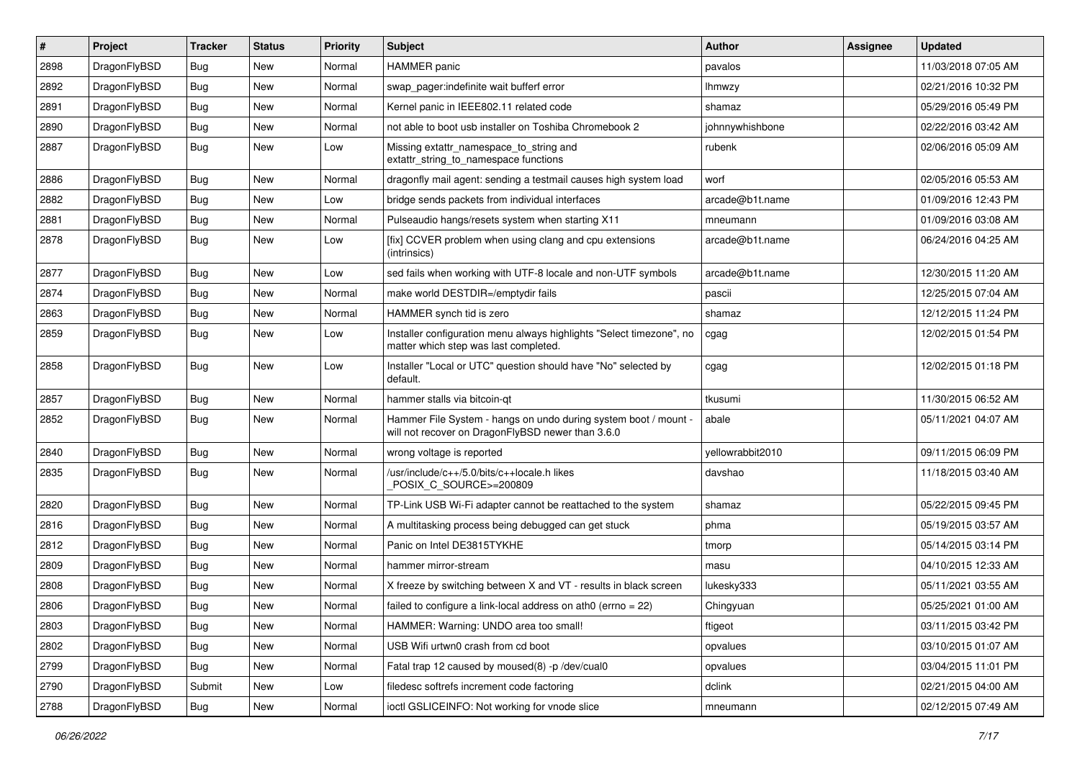| #    | Project      | <b>Tracker</b> | <b>Status</b> | <b>Priority</b> | Subject                                                                                                              | Author           | Assignee | <b>Updated</b>      |
|------|--------------|----------------|---------------|-----------------|----------------------------------------------------------------------------------------------------------------------|------------------|----------|---------------------|
| 2898 | DragonFlyBSD | Bug            | <b>New</b>    | Normal          | <b>HAMMER</b> panic                                                                                                  | pavalos          |          | 11/03/2018 07:05 AM |
| 2892 | DragonFlyBSD | Bug            | <b>New</b>    | Normal          | swap_pager:indefinite wait bufferf error                                                                             | lhmwzy           |          | 02/21/2016 10:32 PM |
| 2891 | DragonFlyBSD | Bug            | New           | Normal          | Kernel panic in IEEE802.11 related code                                                                              | shamaz           |          | 05/29/2016 05:49 PM |
| 2890 | DragonFlyBSD | Bug            | New           | Normal          | not able to boot usb installer on Toshiba Chromebook 2                                                               | johnnywhishbone  |          | 02/22/2016 03:42 AM |
| 2887 | DragonFlyBSD | Bug            | New           | Low             | Missing extattr_namespace_to_string and<br>extattr string to namespace functions                                     | rubenk           |          | 02/06/2016 05:09 AM |
| 2886 | DragonFlyBSD | Bug            | <b>New</b>    | Normal          | dragonfly mail agent: sending a testmail causes high system load                                                     | worf             |          | 02/05/2016 05:53 AM |
| 2882 | DragonFlyBSD | Bug            | New           | Low             | bridge sends packets from individual interfaces                                                                      | arcade@b1t.name  |          | 01/09/2016 12:43 PM |
| 2881 | DragonFlyBSD | Bug            | New           | Normal          | Pulseaudio hangs/resets system when starting X11                                                                     | mneumann         |          | 01/09/2016 03:08 AM |
| 2878 | DragonFlyBSD | Bug            | <b>New</b>    | Low             | [fix] CCVER problem when using clang and cpu extensions<br>(intrinsics)                                              | arcade@b1t.name  |          | 06/24/2016 04:25 AM |
| 2877 | DragonFlyBSD | Bug            | <b>New</b>    | Low             | sed fails when working with UTF-8 locale and non-UTF symbols                                                         | arcade@b1t.name  |          | 12/30/2015 11:20 AM |
| 2874 | DragonFlyBSD | Bug            | New           | Normal          | make world DESTDIR=/emptydir fails                                                                                   | pascii           |          | 12/25/2015 07:04 AM |
| 2863 | DragonFlyBSD | Bug            | New           | Normal          | HAMMER synch tid is zero                                                                                             | shamaz           |          | 12/12/2015 11:24 PM |
| 2859 | DragonFlyBSD | <b>Bug</b>     | New           | Low             | Installer configuration menu always highlights "Select timezone", no<br>matter which step was last completed.        | cgag             |          | 12/02/2015 01:54 PM |
| 2858 | DragonFlyBSD | Bug            | New           | Low             | Installer "Local or UTC" question should have "No" selected by<br>default.                                           | cgag             |          | 12/02/2015 01:18 PM |
| 2857 | DragonFlyBSD | Bug            | <b>New</b>    | Normal          | hammer stalls via bitcoin-qt                                                                                         | tkusumi          |          | 11/30/2015 06:52 AM |
| 2852 | DragonFlyBSD | Bug            | <b>New</b>    | Normal          | Hammer File System - hangs on undo during system boot / mount -<br>will not recover on DragonFlyBSD newer than 3.6.0 | abale            |          | 05/11/2021 04:07 AM |
| 2840 | DragonFlyBSD | Bug            | New           | Normal          | wrong voltage is reported                                                                                            | yellowrabbit2010 |          | 09/11/2015 06:09 PM |
| 2835 | DragonFlyBSD | Bug            | New           | Normal          | /usr/include/c++/5.0/bits/c++locale.h likes<br>POSIX_C_SOURCE>=200809                                                | davshao          |          | 11/18/2015 03:40 AM |
| 2820 | DragonFlyBSD | Bug            | <b>New</b>    | Normal          | TP-Link USB Wi-Fi adapter cannot be reattached to the system                                                         | shamaz           |          | 05/22/2015 09:45 PM |
| 2816 | DragonFlyBSD | Bug            | <b>New</b>    | Normal          | A multitasking process being debugged can get stuck                                                                  | phma             |          | 05/19/2015 03:57 AM |
| 2812 | DragonFlyBSD | Bug            | <b>New</b>    | Normal          | Panic on Intel DE3815TYKHE                                                                                           | tmorp            |          | 05/14/2015 03:14 PM |
| 2809 | DragonFlyBSD | Bug            | <b>New</b>    | Normal          | hammer mirror-stream                                                                                                 | masu             |          | 04/10/2015 12:33 AM |
| 2808 | DragonFlyBSD | Bug            | New           | Normal          | X freeze by switching between X and VT - results in black screen                                                     | lukesky333       |          | 05/11/2021 03:55 AM |
| 2806 | DragonFlyBSD | Bug            | <b>New</b>    | Normal          | failed to configure a link-local address on ath $0$ (errno = 22)                                                     | Chingyuan        |          | 05/25/2021 01:00 AM |
| 2803 | DragonFlyBSD | <b>Bug</b>     | New           | Normal          | HAMMER: Warning: UNDO area too small!                                                                                | ftigeot          |          | 03/11/2015 03:42 PM |
| 2802 | DragonFlyBSD | <b>Bug</b>     | New           | Normal          | USB Wifi urtwn0 crash from cd boot                                                                                   | opvalues         |          | 03/10/2015 01:07 AM |
| 2799 | DragonFlyBSD | <b>Bug</b>     | <b>New</b>    | Normal          | Fatal trap 12 caused by moused(8) -p /dev/cual0                                                                      | opvalues         |          | 03/04/2015 11:01 PM |
| 2790 | DragonFlyBSD | Submit         | <b>New</b>    | Low             | filedesc softrefs increment code factoring                                                                           | dclink           |          | 02/21/2015 04:00 AM |
| 2788 | DragonFlyBSD | Bug            | New           | Normal          | ioctl GSLICEINFO: Not working for vnode slice                                                                        | mneumann         |          | 02/12/2015 07:49 AM |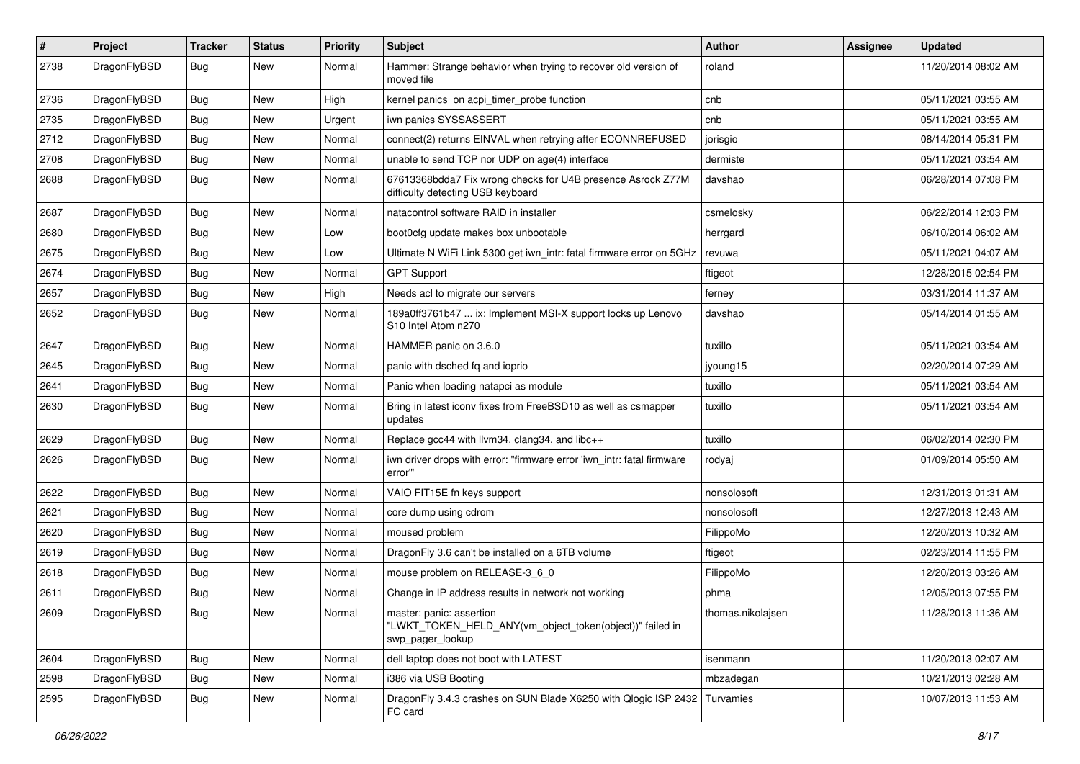| $\pmb{\#}$ | Project      | <b>Tracker</b> | <b>Status</b> | <b>Priority</b> | Subject                                                                                                  | Author            | Assignee | <b>Updated</b>      |
|------------|--------------|----------------|---------------|-----------------|----------------------------------------------------------------------------------------------------------|-------------------|----------|---------------------|
| 2738       | DragonFlyBSD | Bug            | New           | Normal          | Hammer: Strange behavior when trying to recover old version of<br>moved file                             | roland            |          | 11/20/2014 08:02 AM |
| 2736       | DragonFlyBSD | <b>Bug</b>     | <b>New</b>    | High            | kernel panics on acpi_timer_probe function                                                               | cnb               |          | 05/11/2021 03:55 AM |
| 2735       | DragonFlyBSD | Bug            | <b>New</b>    | Urgent          | iwn panics SYSSASSERT                                                                                    | cnb               |          | 05/11/2021 03:55 AM |
| 2712       | DragonFlyBSD | <b>Bug</b>     | <b>New</b>    | Normal          | connect(2) returns EINVAL when retrying after ECONNREFUSED                                               | jorisgio          |          | 08/14/2014 05:31 PM |
| 2708       | DragonFlyBSD | <b>Bug</b>     | <b>New</b>    | Normal          | unable to send TCP nor UDP on age(4) interface                                                           | dermiste          |          | 05/11/2021 03:54 AM |
| 2688       | DragonFlyBSD | Bug            | New           | Normal          | 67613368bdda7 Fix wrong checks for U4B presence Asrock Z77M<br>difficulty detecting USB keyboard         | davshao           |          | 06/28/2014 07:08 PM |
| 2687       | DragonFlyBSD | Bug            | <b>New</b>    | Normal          | natacontrol software RAID in installer                                                                   | csmelosky         |          | 06/22/2014 12:03 PM |
| 2680       | DragonFlyBSD | Bug            | <b>New</b>    | Low             | boot0cfg update makes box unbootable                                                                     | herrgard          |          | 06/10/2014 06:02 AM |
| 2675       | DragonFlyBSD | Bug            | New           | Low             | Ultimate N WiFi Link 5300 get iwn_intr: fatal firmware error on 5GHz                                     | revuwa            |          | 05/11/2021 04:07 AM |
| 2674       | DragonFlyBSD | Bug            | New           | Normal          | <b>GPT Support</b>                                                                                       | ftigeot           |          | 12/28/2015 02:54 PM |
| 2657       | DragonFlyBSD | <b>Bug</b>     | New           | High            | Needs acl to migrate our servers                                                                         | ferney            |          | 03/31/2014 11:37 AM |
| 2652       | DragonFlyBSD | Bug            | <b>New</b>    | Normal          | 189a0ff3761b47  ix: Implement MSI-X support locks up Lenovo<br>S10 Intel Atom n270                       | davshao           |          | 05/14/2014 01:55 AM |
| 2647       | DragonFlyBSD | <b>Bug</b>     | <b>New</b>    | Normal          | HAMMER panic on 3.6.0                                                                                    | tuxillo           |          | 05/11/2021 03:54 AM |
| 2645       | DragonFlyBSD | Bug            | New           | Normal          | panic with dsched fq and ioprio                                                                          | jyoung15          |          | 02/20/2014 07:29 AM |
| 2641       | DragonFlyBSD | <b>Bug</b>     | <b>New</b>    | Normal          | Panic when loading natapci as module                                                                     | tuxillo           |          | 05/11/2021 03:54 AM |
| 2630       | DragonFlyBSD | <b>Bug</b>     | New           | Normal          | Bring in latest iconv fixes from FreeBSD10 as well as csmapper<br>updates                                | tuxillo           |          | 05/11/2021 03:54 AM |
| 2629       | DragonFlyBSD | Bug            | <b>New</b>    | Normal          | Replace gcc44 with llvm34, clang34, and libc++                                                           | tuxillo           |          | 06/02/2014 02:30 PM |
| 2626       | DragonFlyBSD | Bug            | New           | Normal          | iwn driver drops with error: "firmware error 'iwn intr: fatal firmware<br>error"                         | rodyaj            |          | 01/09/2014 05:50 AM |
| 2622       | DragonFlyBSD | <b>Bug</b>     | <b>New</b>    | Normal          | VAIO FIT15E fn keys support                                                                              | nonsolosoft       |          | 12/31/2013 01:31 AM |
| 2621       | DragonFlyBSD | Bug            | <b>New</b>    | Normal          | core dump using cdrom                                                                                    | nonsolosoft       |          | 12/27/2013 12:43 AM |
| 2620       | DragonFlyBSD | Bug            | <b>New</b>    | Normal          | moused problem                                                                                           | FilippoMo         |          | 12/20/2013 10:32 AM |
| 2619       | DragonFlyBSD | Bug            | New           | Normal          | Dragon Fly 3.6 can't be installed on a 6TB volume                                                        | ftigeot           |          | 02/23/2014 11:55 PM |
| 2618       | DragonFlyBSD | Bug            | New           | Normal          | mouse problem on RELEASE-3_6_0                                                                           | FilippoMo         |          | 12/20/2013 03:26 AM |
| 2611       | DragonFlyBSD | Bug            | New           | Normal          | Change in IP address results in network not working                                                      | phma              |          | 12/05/2013 07:55 PM |
| 2609       | DragonFlyBSD | <b>Bug</b>     | New           | Normal          | master: panic: assertion<br>"LWKT_TOKEN_HELD_ANY(vm_object_token(object))" failed in<br>swp pager lookup | thomas.nikolajsen |          | 11/28/2013 11:36 AM |
| 2604       | DragonFlyBSD | <b>Bug</b>     | New           | Normal          | dell laptop does not boot with LATEST                                                                    | isenmann          |          | 11/20/2013 02:07 AM |
| 2598       | DragonFlyBSD | <b>Bug</b>     | New           | Normal          | i386 via USB Booting                                                                                     | mbzadegan         |          | 10/21/2013 02:28 AM |
| 2595       | DragonFlyBSD | <b>Bug</b>     | New           | Normal          | DragonFly 3.4.3 crashes on SUN Blade X6250 with Qlogic ISP 2432<br>FC card                               | Turvamies         |          | 10/07/2013 11:53 AM |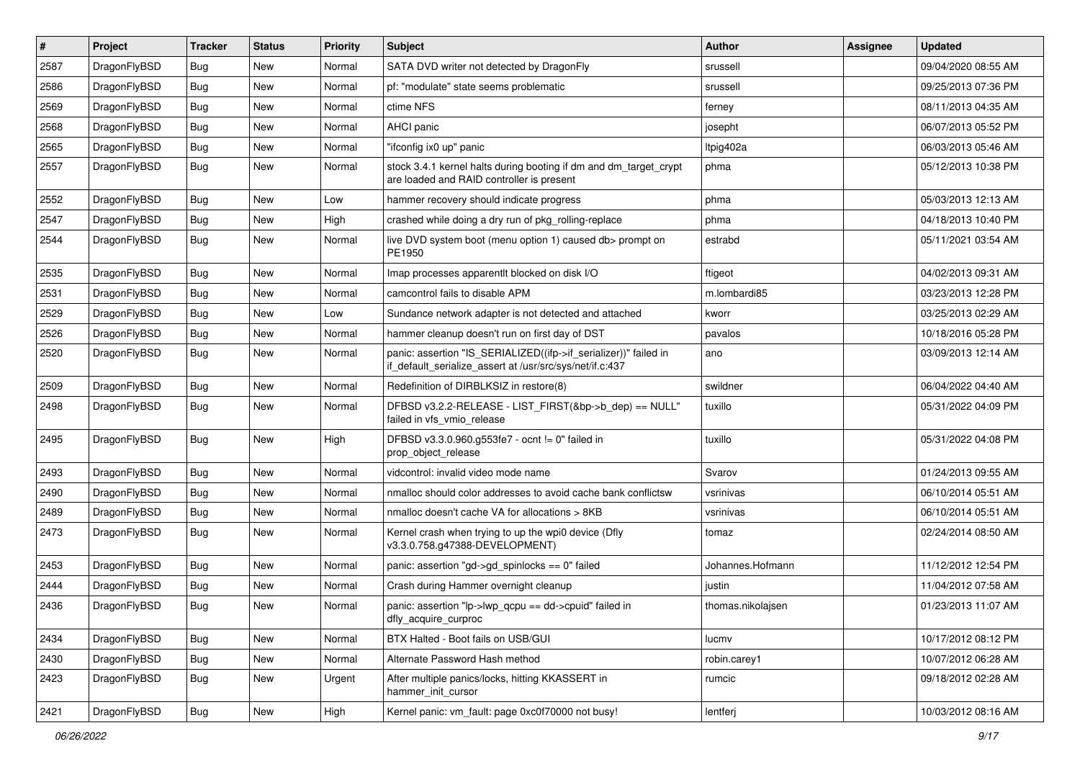| $\sharp$ | Project      | <b>Tracker</b> | <b>Status</b> | <b>Priority</b> | Subject                                                                                                                      | Author            | Assignee | <b>Updated</b>      |
|----------|--------------|----------------|---------------|-----------------|------------------------------------------------------------------------------------------------------------------------------|-------------------|----------|---------------------|
| 2587     | DragonFlyBSD | Bug            | New           | Normal          | SATA DVD writer not detected by DragonFly                                                                                    | srussell          |          | 09/04/2020 08:55 AM |
| 2586     | DragonFlyBSD | Bug            | <b>New</b>    | Normal          | pf: "modulate" state seems problematic                                                                                       | srussell          |          | 09/25/2013 07:36 PM |
| 2569     | DragonFlyBSD | Bug            | New           | Normal          | ctime NFS                                                                                                                    | ferney            |          | 08/11/2013 04:35 AM |
| 2568     | DragonFlyBSD | Bug            | New           | Normal          | AHCI panic                                                                                                                   | josepht           |          | 06/07/2013 05:52 PM |
| 2565     | DragonFlyBSD | Bug            | <b>New</b>    | Normal          | "ifconfig ix0 up" panic                                                                                                      | Itpig402a         |          | 06/03/2013 05:46 AM |
| 2557     | DragonFlyBSD | Bug            | <b>New</b>    | Normal          | stock 3.4.1 kernel halts during booting if dm and dm_target_crypt<br>are loaded and RAID controller is present               | phma              |          | 05/12/2013 10:38 PM |
| 2552     | DragonFlyBSD | Bug            | <b>New</b>    | Low             | hammer recovery should indicate progress                                                                                     | phma              |          | 05/03/2013 12:13 AM |
| 2547     | DragonFlyBSD | <b>Bug</b>     | New           | High            | crashed while doing a dry run of pkg_rolling-replace                                                                         | phma              |          | 04/18/2013 10:40 PM |
| 2544     | DragonFlyBSD | <b>Bug</b>     | <b>New</b>    | Normal          | live DVD system boot (menu option 1) caused db> prompt on<br>PE1950                                                          | estrabd           |          | 05/11/2021 03:54 AM |
| 2535     | DragonFlyBSD | Bug            | <b>New</b>    | Normal          | Imap processes apparentlt blocked on disk I/O                                                                                | ftigeot           |          | 04/02/2013 09:31 AM |
| 2531     | DragonFlyBSD | Bug            | <b>New</b>    | Normal          | camcontrol fails to disable APM                                                                                              | m.lombardi85      |          | 03/23/2013 12:28 PM |
| 2529     | DragonFlyBSD | <b>Bug</b>     | New           | Low             | Sundance network adapter is not detected and attached                                                                        | kworr             |          | 03/25/2013 02:29 AM |
| 2526     | DragonFlyBSD | Bug            | New           | Normal          | hammer cleanup doesn't run on first day of DST                                                                               | pavalos           |          | 10/18/2016 05:28 PM |
| 2520     | DragonFlyBSD | Bug            | New           | Normal          | panic: assertion "IS_SERIALIZED((ifp->if_serializer))" failed in<br>if_default_serialize_assert at /usr/src/sys/net/if.c:437 | ano               |          | 03/09/2013 12:14 AM |
| 2509     | DragonFlyBSD | <b>Bug</b>     | New           | Normal          | Redefinition of DIRBLKSIZ in restore(8)                                                                                      | swildner          |          | 06/04/2022 04:40 AM |
| 2498     | DragonFlyBSD | <b>Bug</b>     | <b>New</b>    | Normal          | DFBSD v3.2.2-RELEASE - LIST FIRST(&bp->b dep) == NULL"<br>failed in vfs_vmio_release                                         | tuxillo           |          | 05/31/2022 04:09 PM |
| 2495     | DragonFlyBSD | <b>Bug</b>     | New           | High            | DFBSD v3.3.0.960.g553fe7 - ocnt != 0" failed in<br>prop object release                                                       | tuxillo           |          | 05/31/2022 04:08 PM |
| 2493     | DragonFlyBSD | Bug            | <b>New</b>    | Normal          | vidcontrol: invalid video mode name                                                                                          | Svarov            |          | 01/24/2013 09:55 AM |
| 2490     | DragonFlyBSD | <b>Bug</b>     | New           | Normal          | nmalloc should color addresses to avoid cache bank conflictsw                                                                | vsrinivas         |          | 06/10/2014 05:51 AM |
| 2489     | DragonFlyBSD | Bug            | <b>New</b>    | Normal          | nmalloc doesn't cache VA for allocations > 8KB                                                                               | vsrinivas         |          | 06/10/2014 05:51 AM |
| 2473     | DragonFlyBSD | Bug            | New           | Normal          | Kernel crash when trying to up the wpi0 device (Dfly<br>v3.3.0.758.g47388-DEVELOPMENT)                                       | tomaz             |          | 02/24/2014 08:50 AM |
| 2453     | DragonFlyBSD | Bug            | New           | Normal          | panic: assertion "gd->gd_spinlocks == 0" failed                                                                              | Johannes.Hofmann  |          | 11/12/2012 12:54 PM |
| 2444     | DragonFlyBSD | Bug            | New           | Normal          | Crash during Hammer overnight cleanup                                                                                        | justin            |          | 11/04/2012 07:58 AM |
| 2436     | DragonFlyBSD | Bug            | <b>New</b>    | Normal          | panic: assertion "lp->lwp qcpu == dd->cpuid" failed in<br>dfly_acquire_curproc                                               | thomas.nikolaisen |          | 01/23/2013 11:07 AM |
| 2434     | DragonFlyBSD | <b>Bug</b>     | <b>New</b>    | Normal          | BTX Halted - Boot fails on USB/GUI                                                                                           | lucmv             |          | 10/17/2012 08:12 PM |
| 2430     | DragonFlyBSD | Bug            | New           | Normal          | Alternate Password Hash method                                                                                               | robin.carey1      |          | 10/07/2012 06:28 AM |
| 2423     | DragonFlyBSD | <b>Bug</b>     | New           | Urgent          | After multiple panics/locks, hitting KKASSERT in<br>hammer_init_cursor                                                       | rumcic            |          | 09/18/2012 02:28 AM |
| 2421     | DragonFlyBSD | Bug            | New           | High            | Kernel panic: vm_fault: page 0xc0f70000 not busy!                                                                            | lentferj          |          | 10/03/2012 08:16 AM |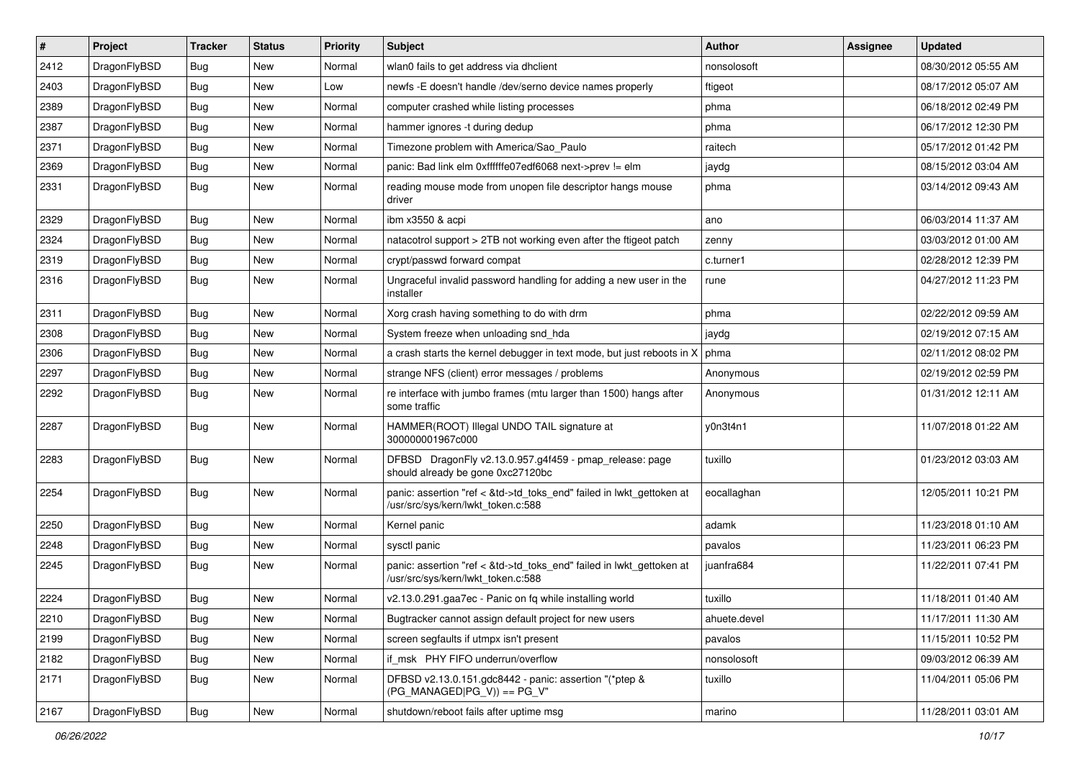| $\sharp$ | Project      | <b>Tracker</b> | <b>Status</b> | <b>Priority</b> | Subject                                                                                                    | Author       | Assignee | <b>Updated</b>      |
|----------|--------------|----------------|---------------|-----------------|------------------------------------------------------------------------------------------------------------|--------------|----------|---------------------|
| 2412     | DragonFlyBSD | <b>Bug</b>     | New           | Normal          | wlan0 fails to get address via dhclient                                                                    | nonsolosoft  |          | 08/30/2012 05:55 AM |
| 2403     | DragonFlyBSD | Bug            | New           | Low             | newfs -E doesn't handle /dev/serno device names properly                                                   | ftigeot      |          | 08/17/2012 05:07 AM |
| 2389     | DragonFlyBSD | <b>Bug</b>     | New           | Normal          | computer crashed while listing processes                                                                   | phma         |          | 06/18/2012 02:49 PM |
| 2387     | DragonFlyBSD | <b>Bug</b>     | New           | Normal          | hammer ignores -t during dedup                                                                             | phma         |          | 06/17/2012 12:30 PM |
| 2371     | DragonFlyBSD | Bug            | <b>New</b>    | Normal          | Timezone problem with America/Sao_Paulo                                                                    | raitech      |          | 05/17/2012 01:42 PM |
| 2369     | DragonFlyBSD | <b>Bug</b>     | <b>New</b>    | Normal          | panic: Bad link elm 0xffffffe07edf6068 next->prev != elm                                                   | jaydg        |          | 08/15/2012 03:04 AM |
| 2331     | DragonFlyBSD | Bug            | New           | Normal          | reading mouse mode from unopen file descriptor hangs mouse<br>driver                                       | phma         |          | 03/14/2012 09:43 AM |
| 2329     | DragonFlyBSD | Bug            | <b>New</b>    | Normal          | ibm x3550 & acpi                                                                                           | ano          |          | 06/03/2014 11:37 AM |
| 2324     | DragonFlyBSD | Bug            | <b>New</b>    | Normal          | natacotrol support > 2TB not working even after the ftigeot patch                                          | zenny        |          | 03/03/2012 01:00 AM |
| 2319     | DragonFlyBSD | <b>Bug</b>     | New           | Normal          | crypt/passwd forward compat                                                                                | c.turner1    |          | 02/28/2012 12:39 PM |
| 2316     | DragonFlyBSD | Bug            | <b>New</b>    | Normal          | Ungraceful invalid password handling for adding a new user in the<br>installer                             | rune         |          | 04/27/2012 11:23 PM |
| 2311     | DragonFlyBSD | Bug            | New           | Normal          | Xorg crash having something to do with drm                                                                 | phma         |          | 02/22/2012 09:59 AM |
| 2308     | DragonFlyBSD | Bug            | New           | Normal          | System freeze when unloading snd_hda                                                                       | jaydg        |          | 02/19/2012 07:15 AM |
| 2306     | DragonFlyBSD | <b>Bug</b>     | <b>New</b>    | Normal          | a crash starts the kernel debugger in text mode, but just reboots in X                                     | phma         |          | 02/11/2012 08:02 PM |
| 2297     | DragonFlyBSD | <b>Bug</b>     | New           | Normal          | strange NFS (client) error messages / problems                                                             | Anonymous    |          | 02/19/2012 02:59 PM |
| 2292     | DragonFlyBSD | Bug            | New           | Normal          | re interface with jumbo frames (mtu larger than 1500) hangs after<br>some traffic                          | Anonymous    |          | 01/31/2012 12:11 AM |
| 2287     | DragonFlyBSD | Bug            | <b>New</b>    | Normal          | HAMMER(ROOT) Illegal UNDO TAIL signature at<br>300000001967c000                                            | y0n3t4n1     |          | 11/07/2018 01:22 AM |
| 2283     | DragonFlyBSD | Bug            | New           | Normal          | DFBSD DragonFly v2.13.0.957.g4f459 - pmap_release: page<br>should already be gone 0xc27120bc               | tuxillo      |          | 01/23/2012 03:03 AM |
| 2254     | DragonFlyBSD | Bug            | New           | Normal          | panic: assertion "ref < &td->td_toks_end" failed in lwkt_gettoken at<br>/usr/src/sys/kern/lwkt_token.c:588 | eocallaghan  |          | 12/05/2011 10:21 PM |
| 2250     | DragonFlyBSD | <b>Bug</b>     | New           | Normal          | Kernel panic                                                                                               | adamk        |          | 11/23/2018 01:10 AM |
| 2248     | DragonFlyBSD | <b>Bug</b>     | <b>New</b>    | Normal          | sysctl panic                                                                                               | pavalos      |          | 11/23/2011 06:23 PM |
| 2245     | DragonFlyBSD | <b>Bug</b>     | New           | Normal          | panic: assertion "ref < &td->td_toks_end" failed in lwkt_gettoken at<br>/usr/src/sys/kern/lwkt_token.c:588 | juanfra684   |          | 11/22/2011 07:41 PM |
| 2224     | DragonFlyBSD | Bug            | <b>New</b>    | Normal          | v2.13.0.291.gaa7ec - Panic on fq while installing world                                                    | tuxillo      |          | 11/18/2011 01:40 AM |
| 2210     | DragonFlyBSD | <b>Bug</b>     | New           | Normal          | Bugtracker cannot assign default project for new users                                                     | ahuete.devel |          | 11/17/2011 11:30 AM |
| 2199     | DragonFlyBSD | <b>Bug</b>     | New           | Normal          | screen segfaults if utmpx isn't present                                                                    | pavalos      |          | 11/15/2011 10:52 PM |
| 2182     | DragonFlyBSD | Bug            | New           | Normal          | if_msk PHY FIFO underrun/overflow                                                                          | nonsolosoft  |          | 09/03/2012 06:39 AM |
| 2171     | DragonFlyBSD | <b>Bug</b>     | New           | Normal          | DFBSD v2.13.0.151.gdc8442 - panic: assertion "(*ptep &<br>$(PG MANAGED PG V)) == PG V"$                    | tuxillo      |          | 11/04/2011 05:06 PM |
| 2167     | DragonFlyBSD | <b>Bug</b>     | New           | Normal          | shutdown/reboot fails after uptime msg                                                                     | marino       |          | 11/28/2011 03:01 AM |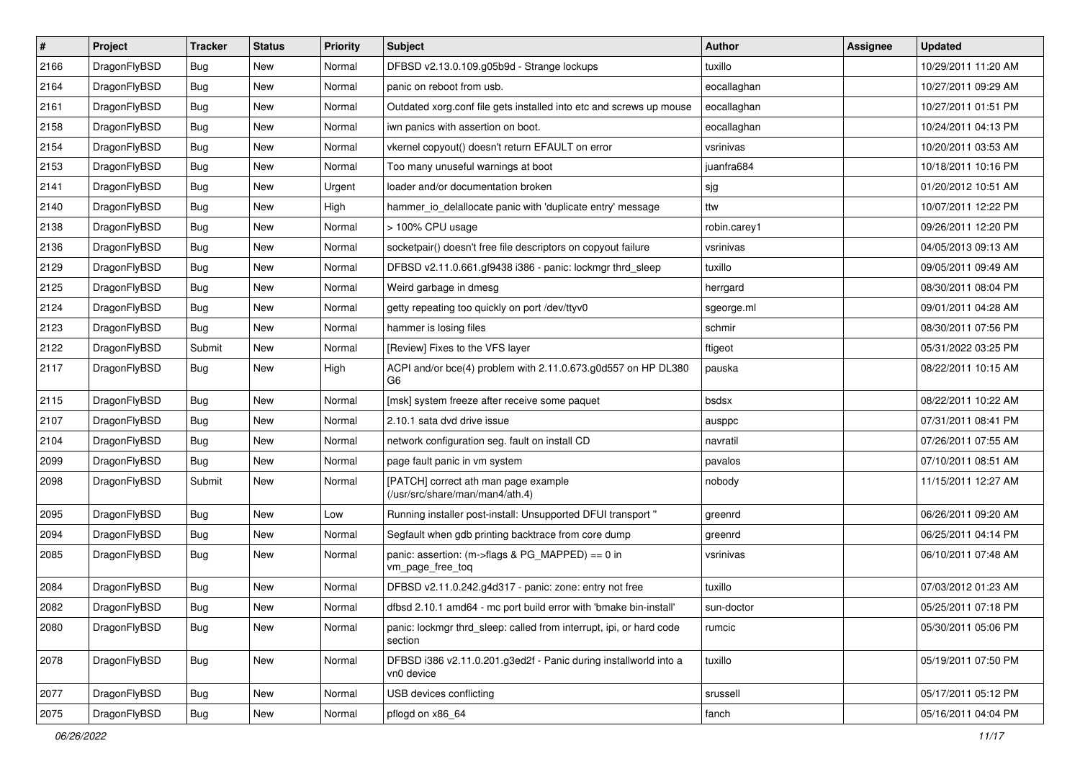| $\sharp$ | Project      | <b>Tracker</b> | <b>Status</b> | <b>Priority</b> | <b>Subject</b>                                                                 | Author       | Assignee | <b>Updated</b>      |
|----------|--------------|----------------|---------------|-----------------|--------------------------------------------------------------------------------|--------------|----------|---------------------|
| 2166     | DragonFlyBSD | Bug            | New           | Normal          | DFBSD v2.13.0.109.g05b9d - Strange lockups                                     | tuxillo      |          | 10/29/2011 11:20 AM |
| 2164     | DragonFlyBSD | <b>Bug</b>     | <b>New</b>    | Normal          | panic on reboot from usb.                                                      | eocallaghan  |          | 10/27/2011 09:29 AM |
| 2161     | DragonFlyBSD | <b>Bug</b>     | <b>New</b>    | Normal          | Outdated xorg.conf file gets installed into etc and screws up mouse            | eocallaghan  |          | 10/27/2011 01:51 PM |
| 2158     | DragonFlyBSD | <b>Bug</b>     | New           | Normal          | iwn panics with assertion on boot.                                             | eocallaghan  |          | 10/24/2011 04:13 PM |
| 2154     | DragonFlyBSD | Bug            | New           | Normal          | vkernel copyout() doesn't return EFAULT on error                               | vsrinivas    |          | 10/20/2011 03:53 AM |
| 2153     | DragonFlyBSD | Bug            | New           | Normal          | Too many unuseful warnings at boot                                             | juanfra684   |          | 10/18/2011 10:16 PM |
| 2141     | DragonFlyBSD | <b>Bug</b>     | New           | Urgent          | loader and/or documentation broken                                             | sjg          |          | 01/20/2012 10:51 AM |
| 2140     | DragonFlyBSD | <b>Bug</b>     | <b>New</b>    | High            | hammer io delallocate panic with 'duplicate entry' message                     | ttw          |          | 10/07/2011 12:22 PM |
| 2138     | DragonFlyBSD | <b>Bug</b>     | New           | Normal          | > 100% CPU usage                                                               | robin.carey1 |          | 09/26/2011 12:20 PM |
| 2136     | DragonFlyBSD | Bug            | New           | Normal          | socketpair() doesn't free file descriptors on copyout failure                  | vsrinivas    |          | 04/05/2013 09:13 AM |
| 2129     | DragonFlyBSD | <b>Bug</b>     | New           | Normal          | DFBSD v2.11.0.661.gf9438 i386 - panic: lockmgr thrd sleep                      | tuxillo      |          | 09/05/2011 09:49 AM |
| 2125     | DragonFlyBSD | <b>Bug</b>     | New           | Normal          | Weird garbage in dmesg                                                         | herrgard     |          | 08/30/2011 08:04 PM |
| 2124     | DragonFlyBSD | <b>Bug</b>     | New           | Normal          | getty repeating too quickly on port /dev/ttyv0                                 | sgeorge.ml   |          | 09/01/2011 04:28 AM |
| 2123     | DragonFlyBSD | <b>Bug</b>     | <b>New</b>    | Normal          | hammer is losing files                                                         | schmir       |          | 08/30/2011 07:56 PM |
| 2122     | DragonFlyBSD | Submit         | New           | Normal          | [Review] Fixes to the VFS layer                                                | ftigeot      |          | 05/31/2022 03:25 PM |
| 2117     | DragonFlyBSD | Bug            | <b>New</b>    | High            | ACPI and/or bce(4) problem with 2.11.0.673.g0d557 on HP DL380<br>G6            | pauska       |          | 08/22/2011 10:15 AM |
| 2115     | DragonFlyBSD | Bug            | <b>New</b>    | Normal          | [msk] system freeze after receive some paquet                                  | bsdsx        |          | 08/22/2011 10:22 AM |
| 2107     | DragonFlyBSD | <b>Bug</b>     | New           | Normal          | 2.10.1 sata dvd drive issue                                                    | ausppc       |          | 07/31/2011 08:41 PM |
| 2104     | DragonFlyBSD | <b>Bug</b>     | <b>New</b>    | Normal          | network configuration seg. fault on install CD                                 | navratil     |          | 07/26/2011 07:55 AM |
| 2099     | DragonFlyBSD | <b>Bug</b>     | New           | Normal          | page fault panic in vm system                                                  | pavalos      |          | 07/10/2011 08:51 AM |
| 2098     | DragonFlyBSD | Submit         | <b>New</b>    | Normal          | [PATCH] correct ath man page example<br>(/usr/src/share/man/man4/ath.4)        | nobody       |          | 11/15/2011 12:27 AM |
| 2095     | DragonFlyBSD | Bug            | <b>New</b>    | Low             | Running installer post-install: Unsupported DFUI transport "                   | greenrd      |          | 06/26/2011 09:20 AM |
| 2094     | DragonFlyBSD | Bug            | New           | Normal          | Segfault when gdb printing backtrace from core dump                            | greenrd      |          | 06/25/2011 04:14 PM |
| 2085     | DragonFlyBSD | Bug            | New           | Normal          | panic: assertion: (m->flags & PG_MAPPED) == 0 in<br>vm_page_free_toq           | vsrinivas    |          | 06/10/2011 07:48 AM |
| 2084     | DragonFlyBSD | Bug            | New           | Normal          | DFBSD v2.11.0.242.g4d317 - panic: zone: entry not free                         | tuxillo      |          | 07/03/2012 01:23 AM |
| 2082     | DragonFlyBSD | Bug            | New           | Normal          | dfbsd 2.10.1 amd64 - mc port build error with 'bmake bin-install'              | sun-doctor   |          | 05/25/2011 07:18 PM |
| 2080     | DragonFlyBSD | Bug            | New           | Normal          | panic: lockmgr thrd sleep: called from interrupt, ipi, or hard code<br>section | rumcic       |          | 05/30/2011 05:06 PM |
| 2078     | DragonFlyBSD | Bug            | New           | Normal          | DFBSD i386 v2.11.0.201.g3ed2f - Panic during installworld into a<br>vn0 device | tuxillo      |          | 05/19/2011 07:50 PM |
| 2077     | DragonFlyBSD | <b>Bug</b>     | New           | Normal          | USB devices conflicting                                                        | srussell     |          | 05/17/2011 05:12 PM |
| 2075     | DragonFlyBSD | <b>Bug</b>     | New           | Normal          | pflogd on x86 64                                                               | fanch        |          | 05/16/2011 04:04 PM |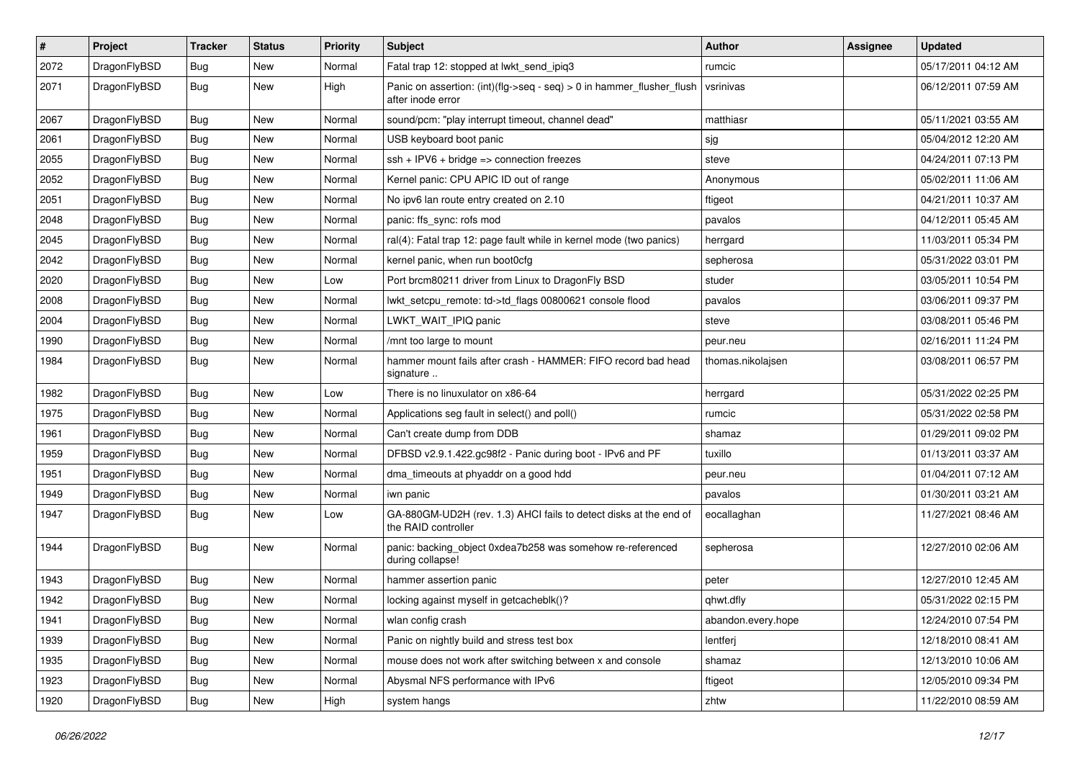| $\sharp$ | Project      | <b>Tracker</b> | <b>Status</b> | <b>Priority</b> | Subject                                                                                    | Author             | Assignee | <b>Updated</b>      |
|----------|--------------|----------------|---------------|-----------------|--------------------------------------------------------------------------------------------|--------------------|----------|---------------------|
| 2072     | DragonFlyBSD | <b>Bug</b>     | New           | Normal          | Fatal trap 12: stopped at lwkt_send_ipiq3                                                  | rumcic             |          | 05/17/2011 04:12 AM |
| 2071     | DragonFlyBSD | <b>Bug</b>     | New           | High            | Panic on assertion: (int)(flg->seq - seq) > 0 in hammer_flusher_flush<br>after inode error | vsrinivas          |          | 06/12/2011 07:59 AM |
| 2067     | DragonFlyBSD | Bug            | <b>New</b>    | Normal          | sound/pcm: "play interrupt timeout, channel dead"                                          | matthiasr          |          | 05/11/2021 03:55 AM |
| 2061     | DragonFlyBSD | <b>Bug</b>     | New           | Normal          | USB keyboard boot panic                                                                    | sjg                |          | 05/04/2012 12:20 AM |
| 2055     | DragonFlyBSD | <b>Bug</b>     | <b>New</b>    | Normal          | $ssh + IPV6 + bridge \Rightarrow connection freezes$                                       | steve              |          | 04/24/2011 07:13 PM |
| 2052     | DragonFlyBSD | Bug            | <b>New</b>    | Normal          | Kernel panic: CPU APIC ID out of range                                                     | Anonymous          |          | 05/02/2011 11:06 AM |
| 2051     | DragonFlyBSD | <b>Bug</b>     | <b>New</b>    | Normal          | No ipv6 lan route entry created on 2.10                                                    | ftigeot            |          | 04/21/2011 10:37 AM |
| 2048     | DragonFlyBSD | <b>Bug</b>     | New           | Normal          | panic: ffs_sync: rofs mod                                                                  | pavalos            |          | 04/12/2011 05:45 AM |
| 2045     | DragonFlyBSD | Bug            | <b>New</b>    | Normal          | ral(4): Fatal trap 12: page fault while in kernel mode (two panics)                        | herrgard           |          | 11/03/2011 05:34 PM |
| 2042     | DragonFlyBSD | <b>Bug</b>     | New           | Normal          | kernel panic, when run boot0cfg                                                            | sepherosa          |          | 05/31/2022 03:01 PM |
| 2020     | DragonFlyBSD | Bug            | New           | Low             | Port brcm80211 driver from Linux to DragonFly BSD                                          | studer             |          | 03/05/2011 10:54 PM |
| 2008     | DragonFlyBSD | <b>Bug</b>     | <b>New</b>    | Normal          | lwkt_setcpu_remote: td->td_flags 00800621 console flood                                    | pavalos            |          | 03/06/2011 09:37 PM |
| 2004     | DragonFlyBSD | <b>Bug</b>     | New           | Normal          | LWKT_WAIT_IPIQ panic                                                                       | steve              |          | 03/08/2011 05:46 PM |
| 1990     | DragonFlyBSD | Bug            | New           | Normal          | /mnt too large to mount                                                                    | peur.neu           |          | 02/16/2011 11:24 PM |
| 1984     | DragonFlyBSD | <b>Bug</b>     | New           | Normal          | hammer mount fails after crash - HAMMER: FIFO record bad head<br>signature                 | thomas.nikolajsen  |          | 03/08/2011 06:57 PM |
| 1982     | DragonFlyBSD | Bug            | <b>New</b>    | Low             | There is no linuxulator on x86-64                                                          | herrgard           |          | 05/31/2022 02:25 PM |
| 1975     | DragonFlyBSD | <b>Bug</b>     | <b>New</b>    | Normal          | Applications seg fault in select() and poll()                                              | rumcic             |          | 05/31/2022 02:58 PM |
| 1961     | DragonFlyBSD | <b>Bug</b>     | New           | Normal          | Can't create dump from DDB                                                                 | shamaz             |          | 01/29/2011 09:02 PM |
| 1959     | DragonFlyBSD | <b>Bug</b>     | <b>New</b>    | Normal          | DFBSD v2.9.1.422.gc98f2 - Panic during boot - IPv6 and PF                                  | tuxillo            |          | 01/13/2011 03:37 AM |
| 1951     | DragonFlyBSD | <b>Bug</b>     | New           | Normal          | dma_timeouts at phyaddr on a good hdd                                                      | peur.neu           |          | 01/04/2011 07:12 AM |
| 1949     | DragonFlyBSD | Bug            | New           | Normal          | iwn panic                                                                                  | pavalos            |          | 01/30/2011 03:21 AM |
| 1947     | DragonFlyBSD | <b>Bug</b>     | New           | Low             | GA-880GM-UD2H (rev. 1.3) AHCI fails to detect disks at the end of<br>the RAID controller   | eocallaghan        |          | 11/27/2021 08:46 AM |
| 1944     | DragonFlyBSD | <b>Bug</b>     | New           | Normal          | panic: backing_object 0xdea7b258 was somehow re-referenced<br>during collapse!             | sepherosa          |          | 12/27/2010 02:06 AM |
| 1943     | DragonFlyBSD | Bug            | New           | Normal          | hammer assertion panic                                                                     | peter              |          | 12/27/2010 12:45 AM |
| 1942     | DragonFlyBSD | <b>Bug</b>     | <b>New</b>    | Normal          | locking against myself in getcacheblk()?                                                   | qhwt.dfly          |          | 05/31/2022 02:15 PM |
| 1941     | DragonFlyBSD | <b>Bug</b>     | New           | Normal          | wlan config crash                                                                          | abandon.every.hope |          | 12/24/2010 07:54 PM |
| 1939     | DragonFlyBSD | <b>Bug</b>     | <b>New</b>    | Normal          | Panic on nightly build and stress test box                                                 | lentferj           |          | 12/18/2010 08:41 AM |
| 1935     | DragonFlyBSD | <b>Bug</b>     | New           | Normal          | mouse does not work after switching between x and console                                  | shamaz             |          | 12/13/2010 10:06 AM |
| 1923     | DragonFlyBSD | <b>Bug</b>     | New           | Normal          | Abysmal NFS performance with IPv6                                                          | ftigeot            |          | 12/05/2010 09:34 PM |
| 1920     | DragonFlyBSD | <b>Bug</b>     | New           | High            | system hangs                                                                               | zhtw               |          | 11/22/2010 08:59 AM |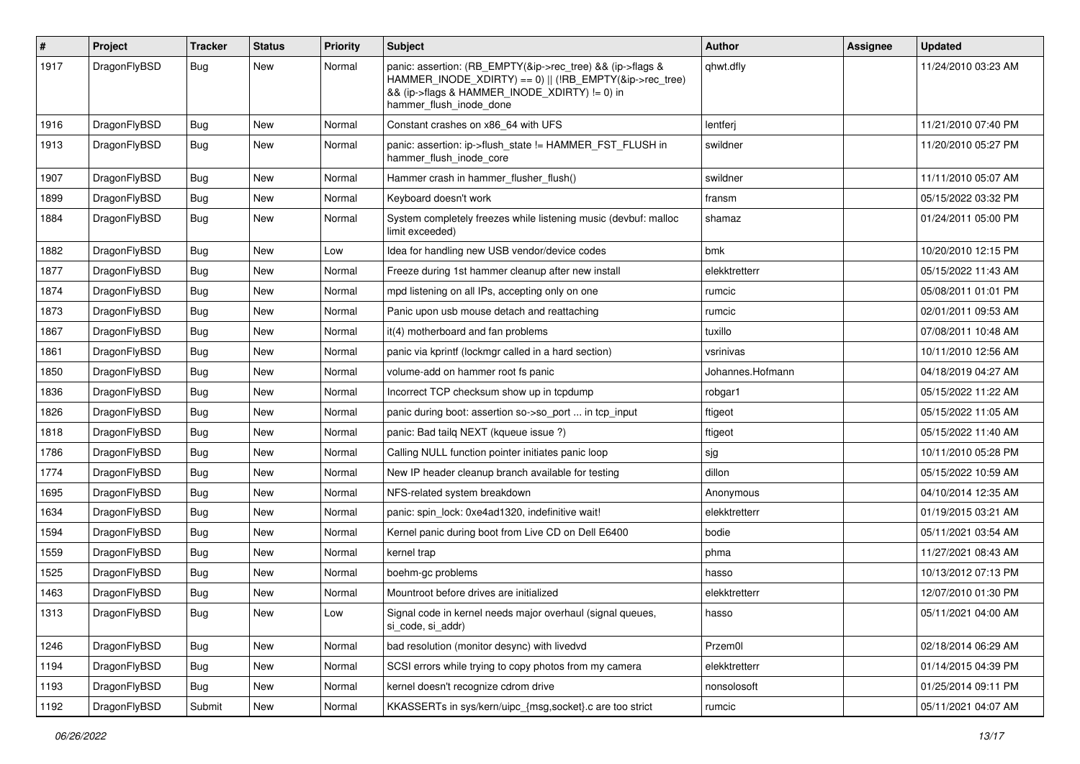| $\sharp$ | Project      | <b>Tracker</b> | <b>Status</b> | <b>Priority</b> | Subject                                                                                                                                                                                           | Author           | Assignee | <b>Updated</b>      |
|----------|--------------|----------------|---------------|-----------------|---------------------------------------------------------------------------------------------------------------------------------------------------------------------------------------------------|------------------|----------|---------------------|
| 1917     | DragonFlyBSD | Bug            | New           | Normal          | panic: assertion: (RB_EMPTY(&ip->rec_tree) && (ip->flags &<br>HAMMER_INODE_XDIRTY) == 0)    (!RB_EMPTY(&ip->rec_tree)<br>&& (ip->flags & HAMMER INODE XDIRTY) != 0) in<br>hammer_flush_inode_done | qhwt.dfly        |          | 11/24/2010 03:23 AM |
| 1916     | DragonFlyBSD | Bug            | <b>New</b>    | Normal          | Constant crashes on x86_64 with UFS                                                                                                                                                               | lentferj         |          | 11/21/2010 07:40 PM |
| 1913     | DragonFlyBSD | <b>Bug</b>     | New           | Normal          | panic: assertion: ip->flush_state != HAMMER_FST_FLUSH in<br>hammer_flush_inode_core                                                                                                               | swildner         |          | 11/20/2010 05:27 PM |
| 1907     | DragonFlyBSD | <b>Bug</b>     | <b>New</b>    | Normal          | Hammer crash in hammer flusher flush()                                                                                                                                                            | swildner         |          | 11/11/2010 05:07 AM |
| 1899     | DragonFlyBSD | <b>Bug</b>     | New           | Normal          | Keyboard doesn't work                                                                                                                                                                             | fransm           |          | 05/15/2022 03:32 PM |
| 1884     | DragonFlyBSD | Bug            | New           | Normal          | System completely freezes while listening music (devbuf: malloc<br>limit exceeded)                                                                                                                | shamaz           |          | 01/24/2011 05:00 PM |
| 1882     | DragonFlyBSD | Bug            | New           | Low             | Idea for handling new USB vendor/device codes                                                                                                                                                     | bmk              |          | 10/20/2010 12:15 PM |
| 1877     | DragonFlyBSD | Bug            | <b>New</b>    | Normal          | Freeze during 1st hammer cleanup after new install                                                                                                                                                | elekktretterr    |          | 05/15/2022 11:43 AM |
| 1874     | DragonFlyBSD | <b>Bug</b>     | New           | Normal          | mpd listening on all IPs, accepting only on one                                                                                                                                                   | rumcic           |          | 05/08/2011 01:01 PM |
| 1873     | DragonFlyBSD | <b>Bug</b>     | New           | Normal          | Panic upon usb mouse detach and reattaching                                                                                                                                                       | rumcic           |          | 02/01/2011 09:53 AM |
| 1867     | DragonFlyBSD | Bug            | <b>New</b>    | Normal          | it(4) motherboard and fan problems                                                                                                                                                                | tuxillo          |          | 07/08/2011 10:48 AM |
| 1861     | DragonFlyBSD | <b>Bug</b>     | New           | Normal          | panic via kprintf (lockmgr called in a hard section)                                                                                                                                              | vsrinivas        |          | 10/11/2010 12:56 AM |
| 1850     | DragonFlyBSD | <b>Bug</b>     | <b>New</b>    | Normal          | volume-add on hammer root fs panic                                                                                                                                                                | Johannes.Hofmann |          | 04/18/2019 04:27 AM |
| 1836     | DragonFlyBSD | <b>Bug</b>     | New           | Normal          | Incorrect TCP checksum show up in tcpdump                                                                                                                                                         | robgar1          |          | 05/15/2022 11:22 AM |
| 1826     | DragonFlyBSD | <b>Bug</b>     | New           | Normal          | panic during boot: assertion so->so_port  in tcp_input                                                                                                                                            | ftigeot          |          | 05/15/2022 11:05 AM |
| 1818     | DragonFlyBSD | Bug            | New           | Normal          | panic: Bad tailq NEXT (kqueue issue ?)                                                                                                                                                            | ftigeot          |          | 05/15/2022 11:40 AM |
| 1786     | DragonFlyBSD | <b>Bug</b>     | <b>New</b>    | Normal          | Calling NULL function pointer initiates panic loop                                                                                                                                                | sjg              |          | 10/11/2010 05:28 PM |
| 1774     | DragonFlyBSD | <b>Bug</b>     | <b>New</b>    | Normal          | New IP header cleanup branch available for testing                                                                                                                                                | dillon           |          | 05/15/2022 10:59 AM |
| 1695     | DragonFlyBSD | <b>Bug</b>     | New           | Normal          | NFS-related system breakdown                                                                                                                                                                      | Anonymous        |          | 04/10/2014 12:35 AM |
| 1634     | DragonFlyBSD | <b>Bug</b>     | New           | Normal          | panic: spin_lock: 0xe4ad1320, indefinitive wait!                                                                                                                                                  | elekktretterr    |          | 01/19/2015 03:21 AM |
| 1594     | DragonFlyBSD | <b>Bug</b>     | <b>New</b>    | Normal          | Kernel panic during boot from Live CD on Dell E6400                                                                                                                                               | bodie            |          | 05/11/2021 03:54 AM |
| 1559     | DragonFlyBSD | <b>Bug</b>     | New           | Normal          | kernel trap                                                                                                                                                                                       | phma             |          | 11/27/2021 08:43 AM |
| 1525     | DragonFlyBSD | <b>Bug</b>     | New           | Normal          | boehm-gc problems                                                                                                                                                                                 | hasso            |          | 10/13/2012 07:13 PM |
| 1463     | DragonFlyBSD | Bug            | New           | Normal          | Mountroot before drives are initialized                                                                                                                                                           | elekktretterr    |          | 12/07/2010 01:30 PM |
| 1313     | DragonFlyBSD | <b>Bug</b>     | New           | LOW             | Signal code in kernel needs major overhaul (signal queues,<br>si_code, si_addr)                                                                                                                   | hasso            |          | 05/11/2021 04:00 AM |
| 1246     | DragonFlyBSD | Bug            | New           | Normal          | bad resolution (monitor desync) with livedvd                                                                                                                                                      | Przem0l          |          | 02/18/2014 06:29 AM |
| 1194     | DragonFlyBSD | <b>Bug</b>     | New           | Normal          | SCSI errors while trying to copy photos from my camera                                                                                                                                            | elekktretterr    |          | 01/14/2015 04:39 PM |
| 1193     | DragonFlyBSD | Bug            | New           | Normal          | kernel doesn't recognize cdrom drive                                                                                                                                                              | nonsolosoft      |          | 01/25/2014 09:11 PM |
| 1192     | DragonFlyBSD | Submit         | New           | Normal          | KKASSERTs in sys/kern/uipc_{msg,socket}.c are too strict                                                                                                                                          | rumcic           |          | 05/11/2021 04:07 AM |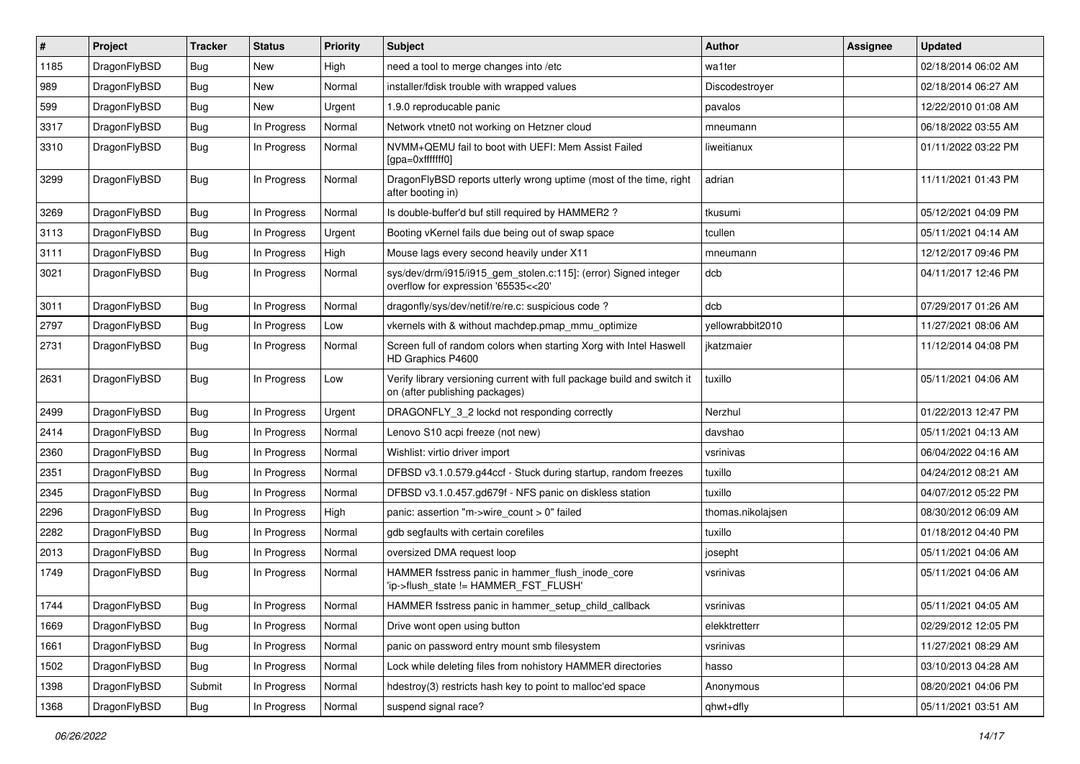| $\pmb{\#}$ | Project      | <b>Tracker</b> | <b>Status</b> | <b>Priority</b> | Subject                                                                                                   | <b>Author</b>     | <b>Assignee</b> | <b>Updated</b>      |
|------------|--------------|----------------|---------------|-----------------|-----------------------------------------------------------------------------------------------------------|-------------------|-----------------|---------------------|
| 1185       | DragonFlyBSD | Bug            | <b>New</b>    | High            | need a tool to merge changes into /etc                                                                    | wa1ter            |                 | 02/18/2014 06:02 AM |
| 989        | DragonFlyBSD | <b>Bug</b>     | <b>New</b>    | Normal          | installer/fdisk trouble with wrapped values                                                               | Discodestroyer    |                 | 02/18/2014 06:27 AM |
| 599        | DragonFlyBSD | <b>Bug</b>     | New           | Urgent          | 1.9.0 reproducable panic                                                                                  | pavalos           |                 | 12/22/2010 01:08 AM |
| 3317       | DragonFlyBSD | Bug            | In Progress   | Normal          | Network vtnet0 not working on Hetzner cloud                                                               | mneumann          |                 | 06/18/2022 03:55 AM |
| 3310       | DragonFlyBSD | <b>Bug</b>     | In Progress   | Normal          | NVMM+QEMU fail to boot with UEFI: Mem Assist Failed<br>[gpa=0xfffffff0]                                   | liweitianux       |                 | 01/11/2022 03:22 PM |
| 3299       | DragonFlyBSD | <b>Bug</b>     | In Progress   | Normal          | DragonFlyBSD reports utterly wrong uptime (most of the time, right<br>after booting in)                   | adrian            |                 | 11/11/2021 01:43 PM |
| 3269       | DragonFlyBSD | <b>Bug</b>     | In Progress   | Normal          | Is double-buffer'd buf still required by HAMMER2 ?                                                        | tkusumi           |                 | 05/12/2021 04:09 PM |
| 3113       | DragonFlyBSD | <b>Bug</b>     | In Progress   | Urgent          | Booting vKernel fails due being out of swap space                                                         | tcullen           |                 | 05/11/2021 04:14 AM |
| 3111       | DragonFlyBSD | <b>Bug</b>     | In Progress   | High            | Mouse lags every second heavily under X11                                                                 | mneumann          |                 | 12/12/2017 09:46 PM |
| 3021       | DragonFlyBSD | Bug            | In Progress   | Normal          | sys/dev/drm/i915/i915_gem_stolen.c:115]: (error) Signed integer<br>overflow for expression '65535<<20'    | dcb               |                 | 04/11/2017 12:46 PM |
| 3011       | DragonFlyBSD | <b>Bug</b>     | In Progress   | Normal          | dragonfly/sys/dev/netif/re/re.c: suspicious code?                                                         | dcb               |                 | 07/29/2017 01:26 AM |
| 2797       | DragonFlyBSD | Bug            | In Progress   | Low             | vkernels with & without machdep.pmap_mmu_optimize                                                         | vellowrabbit2010  |                 | 11/27/2021 08:06 AM |
| 2731       | DragonFlyBSD | Bug            | In Progress   | Normal          | Screen full of random colors when starting Xorg with Intel Haswell<br>HD Graphics P4600                   | jkatzmaier        |                 | 11/12/2014 04:08 PM |
| 2631       | DragonFlyBSD | <b>Bug</b>     | In Progress   | Low             | Verify library versioning current with full package build and switch it<br>on (after publishing packages) | tuxillo           |                 | 05/11/2021 04:06 AM |
| 2499       | DragonFlyBSD | Bug            | In Progress   | Urgent          | DRAGONFLY_3_2 lockd not responding correctly                                                              | Nerzhul           |                 | 01/22/2013 12:47 PM |
| 2414       | DragonFlyBSD | <b>Bug</b>     | In Progress   | Normal          | Lenovo S10 acpi freeze (not new)                                                                          | davshao           |                 | 05/11/2021 04:13 AM |
| 2360       | DragonFlyBSD | <b>Bug</b>     | In Progress   | Normal          | Wishlist: virtio driver import                                                                            | vsrinivas         |                 | 06/04/2022 04:16 AM |
| 2351       | DragonFlyBSD | Bug            | In Progress   | Normal          | DFBSD v3.1.0.579.g44ccf - Stuck during startup, random freezes                                            | tuxillo           |                 | 04/24/2012 08:21 AM |
| 2345       | DragonFlyBSD | <b>Bug</b>     | In Progress   | Normal          | DFBSD v3.1.0.457.gd679f - NFS panic on diskless station                                                   | tuxillo           |                 | 04/07/2012 05:22 PM |
| 2296       | DragonFlyBSD | <b>Bug</b>     | In Progress   | High            | panic: assertion "m->wire count > 0" failed                                                               | thomas.nikolajsen |                 | 08/30/2012 06:09 AM |
| 2282       | DragonFlyBSD | <b>Bug</b>     | In Progress   | Normal          | gdb segfaults with certain corefiles                                                                      | tuxillo           |                 | 01/18/2012 04:40 PM |
| 2013       | DragonFlyBSD | <b>Bug</b>     | In Progress   | Normal          | oversized DMA request loop                                                                                | josepht           |                 | 05/11/2021 04:06 AM |
| 1749       | DragonFlyBSD | <b>Bug</b>     | In Progress   | Normal          | HAMMER fsstress panic in hammer_flush_inode_core<br>'ip->flush_state != HAMMER_FST_FLUSH'                 | vsrinivas         |                 | 05/11/2021 04:06 AM |
| 1744       | DragonFlyBSD | Bug            | In Progress   | Normal          | HAMMER fsstress panic in hammer setup child callback                                                      | vsrinivas         |                 | 05/11/2021 04:05 AM |
| 1669       | DragonFlyBSD | <b>Bug</b>     | In Progress   | Normal          | Drive wont open using button                                                                              | elekktretterr     |                 | 02/29/2012 12:05 PM |
| 1661       | DragonFlyBSD | <b>Bug</b>     | In Progress   | Normal          | panic on password entry mount smb filesystem                                                              | vsrinivas         |                 | 11/27/2021 08:29 AM |
| 1502       | DragonFlyBSD | <b>Bug</b>     | In Progress   | Normal          | Lock while deleting files from nohistory HAMMER directories                                               | hasso             |                 | 03/10/2013 04:28 AM |
| 1398       | DragonFlyBSD | Submit         | In Progress   | Normal          | hdestroy(3) restricts hash key to point to malloc'ed space                                                | Anonymous         |                 | 08/20/2021 04:06 PM |
| 1368       | DragonFlyBSD | Bug            | In Progress   | Normal          | suspend signal race?                                                                                      | qhwt+dfly         |                 | 05/11/2021 03:51 AM |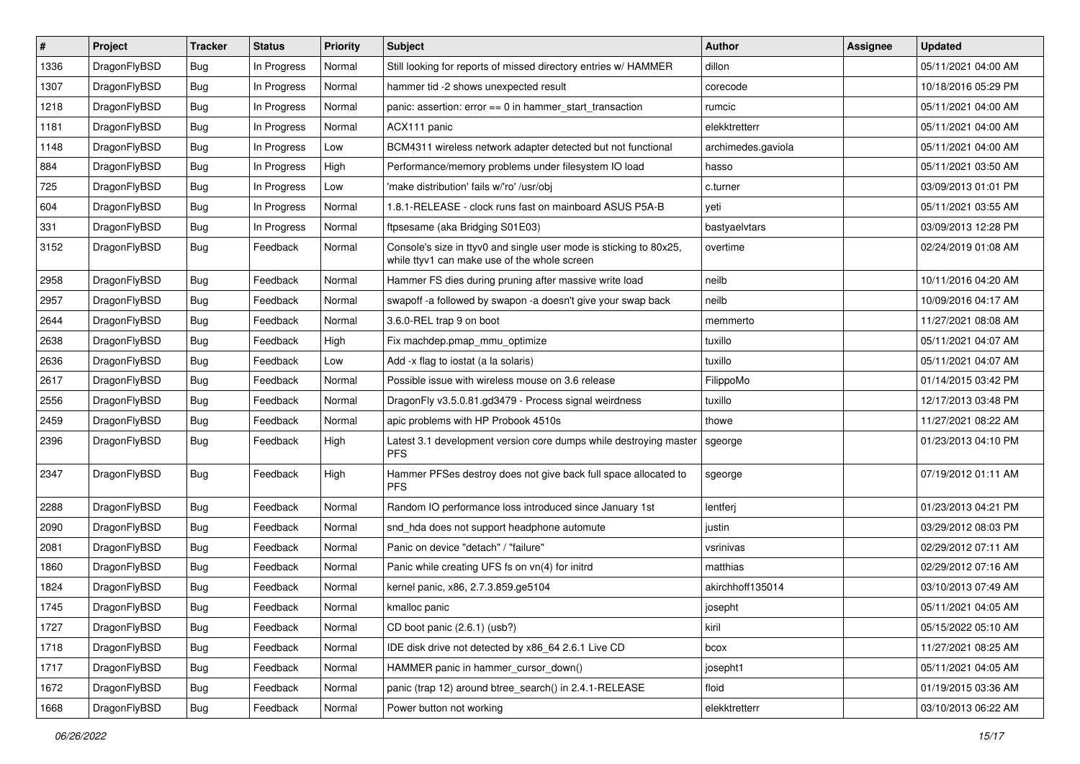| #    | Project      | <b>Tracker</b> | <b>Status</b> | <b>Priority</b> | Subject                                                                                                            | <b>Author</b>      | Assignee | <b>Updated</b>      |
|------|--------------|----------------|---------------|-----------------|--------------------------------------------------------------------------------------------------------------------|--------------------|----------|---------------------|
| 1336 | DragonFlyBSD | Bug            | In Progress   | Normal          | Still looking for reports of missed directory entries w/ HAMMER                                                    | dillon             |          | 05/11/2021 04:00 AM |
| 1307 | DragonFlyBSD | Bug            | In Progress   | Normal          | hammer tid -2 shows unexpected result                                                                              | corecode           |          | 10/18/2016 05:29 PM |
| 1218 | DragonFlyBSD | <b>Bug</b>     | In Progress   | Normal          | panic: assertion: $error == 0$ in hammer start transaction                                                         | rumcic             |          | 05/11/2021 04:00 AM |
| 1181 | DragonFlyBSD | <b>Bug</b>     | In Progress   | Normal          | ACX111 panic                                                                                                       | elekktretterr      |          | 05/11/2021 04:00 AM |
| 1148 | DragonFlyBSD | <b>Bug</b>     | In Progress   | Low             | BCM4311 wireless network adapter detected but not functional                                                       | archimedes.gaviola |          | 05/11/2021 04:00 AM |
| 884  | DragonFlyBSD | <b>Bug</b>     | In Progress   | High            | Performance/memory problems under filesystem IO load                                                               | hasso              |          | 05/11/2021 03:50 AM |
| 725  | DragonFlyBSD | <b>Bug</b>     | In Progress   | Low             | 'make distribution' fails w/'ro' /usr/obi                                                                          | c.turner           |          | 03/09/2013 01:01 PM |
| 604  | DragonFlyBSD | <b>Bug</b>     | In Progress   | Normal          | 1.8.1-RELEASE - clock runs fast on mainboard ASUS P5A-B                                                            | yeti               |          | 05/11/2021 03:55 AM |
| 331  | DragonFlyBSD | <b>Bug</b>     | In Progress   | Normal          | ftpsesame (aka Bridging S01E03)                                                                                    | bastyaelvtars      |          | 03/09/2013 12:28 PM |
| 3152 | DragonFlyBSD | <b>Bug</b>     | Feedback      | Normal          | Console's size in ttyv0 and single user mode is sticking to 80x25,<br>while ttyv1 can make use of the whole screen | overtime           |          | 02/24/2019 01:08 AM |
| 2958 | DragonFlyBSD | <b>Bug</b>     | Feedback      | Normal          | Hammer FS dies during pruning after massive write load                                                             | neilb              |          | 10/11/2016 04:20 AM |
| 2957 | DragonFlyBSD | <b>Bug</b>     | Feedback      | Normal          | swapoff -a followed by swapon -a doesn't give your swap back                                                       | neilb              |          | 10/09/2016 04:17 AM |
| 2644 | DragonFlyBSD | <b>Bug</b>     | Feedback      | Normal          | 3.6.0-REL trap 9 on boot                                                                                           | memmerto           |          | 11/27/2021 08:08 AM |
| 2638 | DragonFlyBSD | <b>Bug</b>     | Feedback      | High            | Fix machdep.pmap_mmu_optimize                                                                                      | tuxillo            |          | 05/11/2021 04:07 AM |
| 2636 | DragonFlyBSD | <b>Bug</b>     | Feedback      | Low             | Add -x flag to iostat (a la solaris)                                                                               | tuxillo            |          | 05/11/2021 04:07 AM |
| 2617 | DragonFlyBSD | <b>Bug</b>     | Feedback      | Normal          | Possible issue with wireless mouse on 3.6 release                                                                  | FilippoMo          |          | 01/14/2015 03:42 PM |
| 2556 | DragonFlyBSD | <b>Bug</b>     | Feedback      | Normal          | DragonFly v3.5.0.81.gd3479 - Process signal weirdness                                                              | tuxillo            |          | 12/17/2013 03:48 PM |
| 2459 | DragonFlyBSD | <b>Bug</b>     | Feedback      | Normal          | apic problems with HP Probook 4510s                                                                                | thowe              |          | 11/27/2021 08:22 AM |
| 2396 | DragonFlyBSD | <b>Bug</b>     | Feedback      | High            | Latest 3.1 development version core dumps while destroying master<br><b>PFS</b>                                    | sgeorge            |          | 01/23/2013 04:10 PM |
| 2347 | DragonFlyBSD | <b>Bug</b>     | Feedback      | High            | Hammer PFSes destroy does not give back full space allocated to<br><b>PFS</b>                                      | sgeorge            |          | 07/19/2012 01:11 AM |
| 2288 | DragonFlyBSD | <b>Bug</b>     | Feedback      | Normal          | Random IO performance loss introduced since January 1st                                                            | lentferj           |          | 01/23/2013 04:21 PM |
| 2090 | DragonFlyBSD | <b>Bug</b>     | Feedback      | Normal          | snd_hda does not support headphone automute                                                                        | justin             |          | 03/29/2012 08:03 PM |
| 2081 | DragonFlyBSD | <b>Bug</b>     | Feedback      | Normal          | Panic on device "detach" / "failure"                                                                               | vsrinivas          |          | 02/29/2012 07:11 AM |
| 1860 | DragonFlyBSD | <b>Bug</b>     | Feedback      | Normal          | Panic while creating UFS fs on vn(4) for initrd                                                                    | matthias           |          | 02/29/2012 07:16 AM |
| 1824 | DragonFlyBSD | <b>Bug</b>     | Feedback      | Normal          | kernel panic, x86, 2.7.3.859.ge5104                                                                                | akirchhoff135014   |          | 03/10/2013 07:49 AM |
| 1745 | DragonFlyBSD | Bug            | Feedback      | Normal          | kmalloc panic                                                                                                      | josepht            |          | 05/11/2021 04:05 AM |
| 1727 | DragonFlyBSD | <b>Bug</b>     | Feedback      | Normal          | CD boot panic (2.6.1) (usb?)                                                                                       | kiril              |          | 05/15/2022 05:10 AM |
| 1718 | DragonFlyBSD | <b>Bug</b>     | Feedback      | Normal          | IDE disk drive not detected by x86_64 2.6.1 Live CD                                                                | bcox               |          | 11/27/2021 08:25 AM |
| 1717 | DragonFlyBSD | <b>Bug</b>     | Feedback      | Normal          | HAMMER panic in hammer cursor down()                                                                               | josepht1           |          | 05/11/2021 04:05 AM |
| 1672 | DragonFlyBSD | <b>Bug</b>     | Feedback      | Normal          | panic (trap 12) around btree_search() in 2.4.1-RELEASE                                                             | floid              |          | 01/19/2015 03:36 AM |
| 1668 | DragonFlyBSD | <b>Bug</b>     | Feedback      | Normal          | Power button not working                                                                                           | elekktretterr      |          | 03/10/2013 06:22 AM |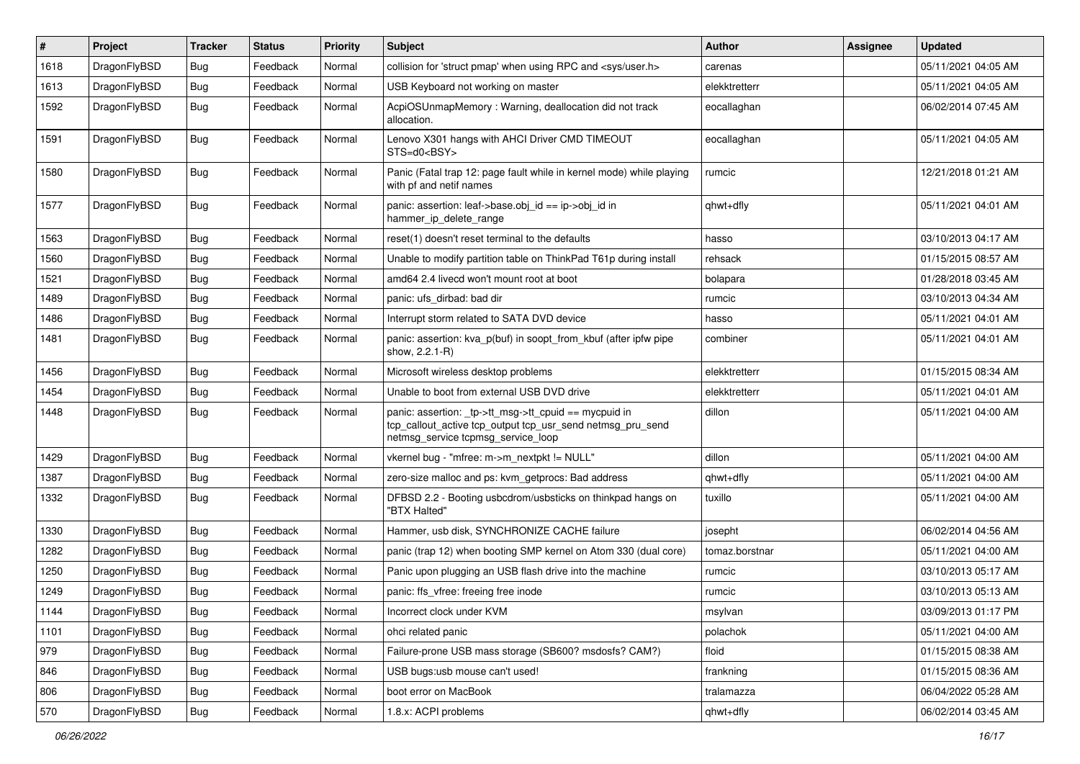| #    | Project      | <b>Tracker</b> | <b>Status</b> | <b>Priority</b> | Subject                                                                                                                                                   | Author         | <b>Assignee</b> | <b>Updated</b>      |
|------|--------------|----------------|---------------|-----------------|-----------------------------------------------------------------------------------------------------------------------------------------------------------|----------------|-----------------|---------------------|
| 1618 | DragonFlyBSD | <b>Bug</b>     | Feedback      | Normal          | collision for 'struct pmap' when using RPC and <sys user.h=""></sys>                                                                                      | carenas        |                 | 05/11/2021 04:05 AM |
| 1613 | DragonFlyBSD | <b>Bug</b>     | Feedback      | Normal          | USB Keyboard not working on master                                                                                                                        | elekktretterr  |                 | 05/11/2021 04:05 AM |
| 1592 | DragonFlyBSD | <b>Bug</b>     | Feedback      | Normal          | AcpiOSUnmapMemory: Warning, deallocation did not track<br>allocation.                                                                                     | eocallaghan    |                 | 06/02/2014 07:45 AM |
| 1591 | DragonFlyBSD | <b>Bug</b>     | Feedback      | Normal          | Lenovo X301 hangs with AHCI Driver CMD TIMEOUT<br>STS=d0 <bsy></bsy>                                                                                      | eocallaghan    |                 | 05/11/2021 04:05 AM |
| 1580 | DragonFlyBSD | <b>Bug</b>     | Feedback      | Normal          | Panic (Fatal trap 12: page fault while in kernel mode) while playing<br>with pf and netif names                                                           | rumcic         |                 | 12/21/2018 01:21 AM |
| 1577 | DragonFlyBSD | <b>Bug</b>     | Feedback      | Normal          | panic: assertion: leaf->base.obj_id == ip->obj_id in<br>hammer ip delete range                                                                            | qhwt+dfly      |                 | 05/11/2021 04:01 AM |
| 1563 | DragonFlyBSD | <b>Bug</b>     | Feedback      | Normal          | reset(1) doesn't reset terminal to the defaults                                                                                                           | hasso          |                 | 03/10/2013 04:17 AM |
| 1560 | DragonFlyBSD | <b>Bug</b>     | Feedback      | Normal          | Unable to modify partition table on ThinkPad T61p during install                                                                                          | rehsack        |                 | 01/15/2015 08:57 AM |
| 1521 | DragonFlyBSD | <b>Bug</b>     | Feedback      | Normal          | amd64 2.4 livecd won't mount root at boot                                                                                                                 | bolapara       |                 | 01/28/2018 03:45 AM |
| 1489 | DragonFlyBSD | <b>Bug</b>     | Feedback      | Normal          | panic: ufs dirbad: bad dir                                                                                                                                | rumcic         |                 | 03/10/2013 04:34 AM |
| 1486 | DragonFlyBSD | <b>Bug</b>     | Feedback      | Normal          | Interrupt storm related to SATA DVD device                                                                                                                | hasso          |                 | 05/11/2021 04:01 AM |
| 1481 | DragonFlyBSD | <b>Bug</b>     | Feedback      | Normal          | panic: assertion: kva p(buf) in soopt from kbuf (after ipfw pipe<br>show, 2.2.1-R)                                                                        | combiner       |                 | 05/11/2021 04:01 AM |
| 1456 | DragonFlyBSD | <b>Bug</b>     | Feedback      | Normal          | Microsoft wireless desktop problems                                                                                                                       | elekktretterr  |                 | 01/15/2015 08:34 AM |
| 1454 | DragonFlyBSD | <b>Bug</b>     | Feedback      | Normal          | Unable to boot from external USB DVD drive                                                                                                                | elekktretterr  |                 | 05/11/2021 04:01 AM |
| 1448 | DragonFlyBSD | <b>Bug</b>     | Feedback      | Normal          | panic: assertion: _tp->tt_msg->tt_cpuid == mycpuid in<br>tcp_callout_active tcp_output tcp_usr_send netmsg_pru_send<br>netmsg service tcpmsg service loop | dillon         |                 | 05/11/2021 04:00 AM |
| 1429 | DragonFlyBSD | <b>Bug</b>     | Feedback      | Normal          | vkernel bug - "mfree: m->m_nextpkt != NULL"                                                                                                               | dillon         |                 | 05/11/2021 04:00 AM |
| 1387 | DragonFlyBSD | <b>Bug</b>     | Feedback      | Normal          | zero-size malloc and ps: kvm_getprocs: Bad address                                                                                                        | qhwt+dfly      |                 | 05/11/2021 04:00 AM |
| 1332 | DragonFlyBSD | <b>Bug</b>     | Feedback      | Normal          | DFBSD 2.2 - Booting usbcdrom/usbsticks on thinkpad hangs on<br>"BTX Halted"                                                                               | tuxillo        |                 | 05/11/2021 04:00 AM |
| 1330 | DragonFlyBSD | Bug            | Feedback      | Normal          | Hammer, usb disk, SYNCHRONIZE CACHE failure                                                                                                               | josepht        |                 | 06/02/2014 04:56 AM |
| 1282 | DragonFlyBSD | <b>Bug</b>     | Feedback      | Normal          | panic (trap 12) when booting SMP kernel on Atom 330 (dual core)                                                                                           | tomaz.borstnar |                 | 05/11/2021 04:00 AM |
| 1250 | DragonFlyBSD | Bug            | Feedback      | Normal          | Panic upon plugging an USB flash drive into the machine                                                                                                   | rumcic         |                 | 03/10/2013 05:17 AM |
| 1249 | DragonFlyBSD | <b>Bug</b>     | Feedback      | Normal          | panic: ffs vfree: freeing free inode                                                                                                                      | rumcic         |                 | 03/10/2013 05:13 AM |
| 1144 | DragonFlyBSD | <b>Bug</b>     | Feedback      | Normal          | Incorrect clock under KVM                                                                                                                                 | msylvan        |                 | 03/09/2013 01:17 PM |
| 1101 | DragonFlyBSD | Bug            | Feedback      | Normal          | ohci related panic                                                                                                                                        | polachok       |                 | 05/11/2021 04:00 AM |
| 979  | DragonFlyBSD | <b>Bug</b>     | Feedback      | Normal          | Failure-prone USB mass storage (SB600? msdosfs? CAM?)                                                                                                     | floid          |                 | 01/15/2015 08:38 AM |
| 846  | DragonFlyBSD | Bug            | Feedback      | Normal          | USB bugs:usb mouse can't used!                                                                                                                            | frankning      |                 | 01/15/2015 08:36 AM |
| 806  | DragonFlyBSD | <b>Bug</b>     | Feedback      | Normal          | boot error on MacBook                                                                                                                                     | tralamazza     |                 | 06/04/2022 05:28 AM |
| 570  | DragonFlyBSD | Bug            | Feedback      | Normal          | 1.8.x: ACPI problems                                                                                                                                      | qhwt+dfly      |                 | 06/02/2014 03:45 AM |